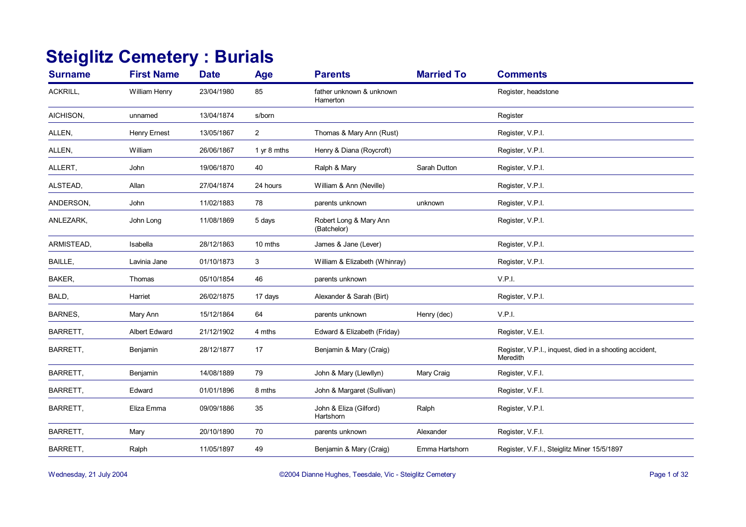## **Steiglitz Cemetery : Burials**

| <b>Surname</b> | <b>First Name</b>    | <b>Date</b> | Age            | <b>Parents</b>                        | <b>Married To</b> | <b>Comments</b>                                                     |
|----------------|----------------------|-------------|----------------|---------------------------------------|-------------------|---------------------------------------------------------------------|
| ACKRILL,       | William Henry        | 23/04/1980  | 85             | father unknown & unknown<br>Hamerton  |                   | Register, headstone                                                 |
| AICHISON,      | unnamed              | 13/04/1874  | s/born         |                                       |                   | Register                                                            |
| ALLEN,         | <b>Henry Ernest</b>  | 13/05/1867  | $\overline{2}$ | Thomas & Mary Ann (Rust)              |                   | Register, V.P.I.                                                    |
| ALLEN,         | William              | 26/06/1867  | 1 yr 8 mths    | Henry & Diana (Roycroft)              |                   | Register, V.P.I.                                                    |
| ALLERT,        | John                 | 19/06/1870  | 40             | Ralph & Mary                          | Sarah Dutton      | Register, V.P.I.                                                    |
| ALSTEAD,       | Allan                | 27/04/1874  | 24 hours       | William & Ann (Neville)               |                   | Register, V.P.I.                                                    |
| ANDERSON,      | John                 | 11/02/1883  | 78             | parents unknown                       | unknown           | Register, V.P.I.                                                    |
| ANLEZARK,      | John Long            | 11/08/1869  | 5 days         | Robert Long & Mary Ann<br>(Batchelor) |                   | Register, V.P.I.                                                    |
| ARMISTEAD,     | Isabella             | 28/12/1863  | 10 mths        | James & Jane (Lever)                  |                   | Register, V.P.I.                                                    |
| BAILLE,        | Lavinia Jane         | 01/10/1873  | 3              | William & Elizabeth (Whinray)         |                   | Register, V.P.I.                                                    |
| BAKER,         | Thomas               | 05/10/1854  | 46             | parents unknown                       |                   | V.P.I.                                                              |
| BALD,          | Harriet              | 26/02/1875  | 17 days        | Alexander & Sarah (Birt)              |                   | Register, V.P.I.                                                    |
| BARNES,        | Mary Ann             | 15/12/1864  | 64             | parents unknown                       | Henry (dec)       | V.P.I.                                                              |
| BARRETT,       | <b>Albert Edward</b> | 21/12/1902  | 4 mths         | Edward & Elizabeth (Friday)           |                   | Register, V.E.I.                                                    |
| BARRETT,       | Benjamin             | 28/12/1877  | 17             | Benjamin & Mary (Craig)               |                   | Register, V.P.I., inquest, died in a shooting accident,<br>Meredith |
| BARRETT,       | Benjamin             | 14/08/1889  | 79             | John & Mary (Llewllyn)                | Mary Craig        | Register, V.F.I.                                                    |
| BARRETT,       | Edward               | 01/01/1896  | 8 mths         | John & Margaret (Sullivan)            |                   | Register, V.F.I.                                                    |
| BARRETT,       | Eliza Emma           | 09/09/1886  | 35             | John & Eliza (Gilford)<br>Hartshorn   | Ralph             | Register, V.P.I.                                                    |
| BARRETT,       | Mary                 | 20/10/1890  | 70             | parents unknown                       | Alexander         | Register, V.F.I.                                                    |
| BARRETT,       | Ralph                | 11/05/1897  | 49             | Benjamin & Mary (Craig)               | Emma Hartshorn    | Register, V.F.I., Steiglitz Miner 15/5/1897                         |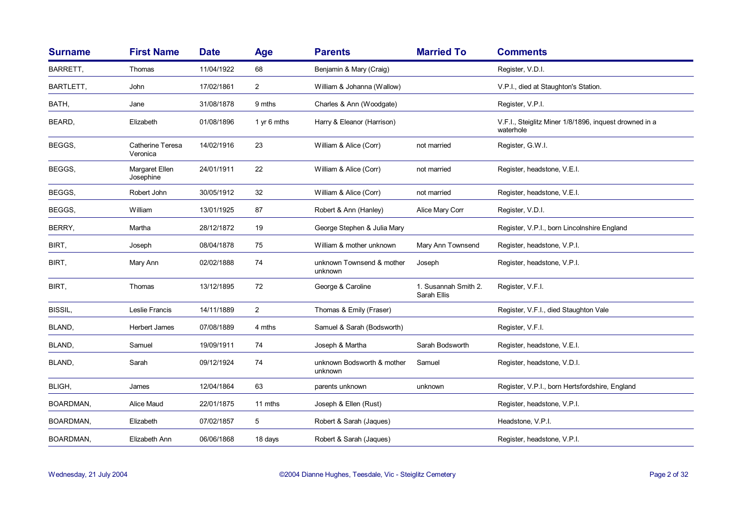| <b>Surname</b>   | <b>First Name</b>            | <b>Date</b> | <b>Age</b>      | <b>Parents</b>                        | <b>Married To</b>                   | <b>Comments</b>                                                     |
|------------------|------------------------------|-------------|-----------------|---------------------------------------|-------------------------------------|---------------------------------------------------------------------|
| BARRETT,         | Thomas                       | 11/04/1922  | 68              | Benjamin & Mary (Craig)               |                                     | Register, V.D.I.                                                    |
| BARTLETT,        | John                         | 17/02/1861  | $\overline{2}$  | William & Johanna (Wallow)            |                                     | V.P.I., died at Staughton's Station.                                |
| BATH,            | Jane                         | 31/08/1878  | 9 mths          | Charles & Ann (Woodgate)              |                                     | Register, V.P.I.                                                    |
| BEARD,           | Elizabeth                    | 01/08/1896  | 1 $\vee$ 6 mths | Harry & Eleanor (Harrison)            |                                     | V.F.I., Steiglitz Miner 1/8/1896, inquest drowned in a<br>waterhole |
| BEGGS,           | Catherine Teresa<br>Veronica | 14/02/1916  | 23              | William & Alice (Corr)                | not married                         | Register, G.W.I.                                                    |
| BEGGS,           | Margaret Ellen<br>Josephine  | 24/01/1911  | 22              | William & Alice (Corr)                | not married                         | Register, headstone, V.E.I.                                         |
| BEGGS,           | Robert John                  | 30/05/1912  | 32              | William & Alice (Corr)                | not married                         | Register, headstone, V.E.I.                                         |
| BEGGS,           | William                      | 13/01/1925  | 87              | Robert & Ann (Hanley)                 | Alice Mary Corr                     | Register, V.D.I.                                                    |
| BERRY,           | Martha                       | 28/12/1872  | 19              | George Stephen & Julia Mary           |                                     | Register, V.P.I., born Lincolnshire England                         |
| BIRT,            | Joseph                       | 08/04/1878  | 75              | William & mother unknown              | Mary Ann Townsend                   | Register, headstone, V.P.I.                                         |
| BIRT,            | Mary Ann                     | 02/02/1888  | 74              | unknown Townsend & mother<br>unknown  | Joseph                              | Register, headstone, V.P.I.                                         |
| BIRT,            | Thomas                       | 13/12/1895  | 72              | George & Caroline                     | 1. Susannah Smith 2.<br>Sarah Ellis | Register, V.F.I.                                                    |
| <b>BISSIL,</b>   | Leslie Francis               | 14/11/1889  | $\overline{2}$  | Thomas & Emily (Fraser)               |                                     | Register, V.F.I., died Staughton Vale                               |
| BLAND,           | <b>Herbert James</b>         | 07/08/1889  | 4 mths          | Samuel & Sarah (Bodsworth)            |                                     | Register, V.F.I.                                                    |
| BLAND,           | Samuel                       | 19/09/1911  | 74              | Joseph & Martha                       | Sarah Bodsworth                     | Register, headstone, V.E.I.                                         |
| BLAND,           | Sarah                        | 09/12/1924  | 74              | unknown Bodsworth & mother<br>unknown | Samuel                              | Register, headstone, V.D.I.                                         |
| BLIGH,           | James                        | 12/04/1864  | 63              | parents unknown                       | unknown                             | Register, V.P.I., born Hertsfordshire, England                      |
| BOARDMAN,        | Alice Maud                   | 22/01/1875  | 11 mths         | Joseph & Ellen (Rust)                 |                                     | Register, headstone, V.P.I.                                         |
| <b>BOARDMAN,</b> | Elizabeth                    | 07/02/1857  | 5               | Robert & Sarah (Jaques)               |                                     | Headstone, V.P.I.                                                   |
| BOARDMAN,        | Elizabeth Ann                | 06/06/1868  | 18 days         | Robert & Sarah (Jaques)               |                                     | Register, headstone, V.P.I.                                         |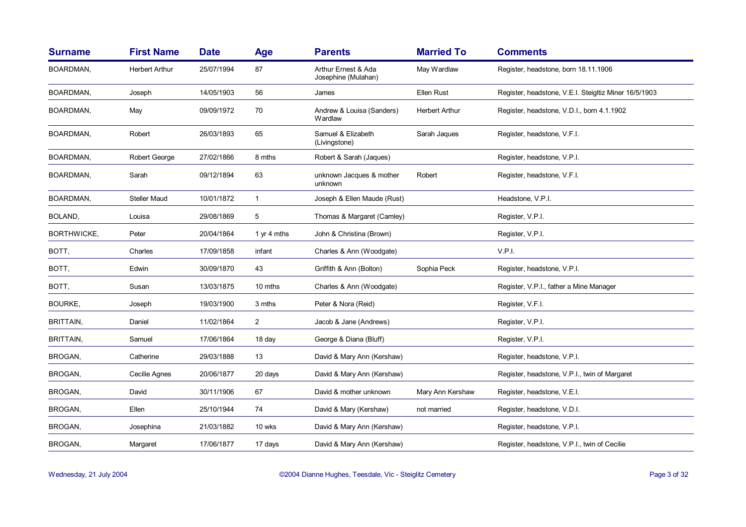| <b>Surname</b>   | <b>First Name</b>     | <b>Date</b> | <b>Age</b>     | <b>Parents</b>                             | <b>Married To</b>     | <b>Comments</b>                                       |
|------------------|-----------------------|-------------|----------------|--------------------------------------------|-----------------------|-------------------------------------------------------|
| BOARDMAN,        | <b>Herbert Arthur</b> | 25/07/1994  | 87             | Arthur Ernest & Ada<br>Josephine (Mulahan) | May Wardlaw           | Register, headstone, born 18.11.1906                  |
| BOARDMAN,        | Joseph                | 14/05/1903  | 56             | James                                      | Ellen Rust            | Register, headstone, V.E.I. Steigltiz Miner 16/5/1903 |
| BOARDMAN,        | May                   | 09/09/1972  | 70             | Andrew & Louisa (Sanders)<br>Wardlaw       | <b>Herbert Arthur</b> | Register, headstone, V.D.I., born 4.1.1902            |
| BOARDMAN,        | Robert                | 26/03/1893  | 65             | Samuel & Elizabeth<br>(Livingstone)        | Sarah Jaques          | Register, headstone, V.F.I.                           |
| BOARDMAN,        | Robert George         | 27/02/1866  | 8 mths         | Robert & Sarah (Jaques)                    |                       | Register, headstone, V.P.I.                           |
| BOARDMAN,        | Sarah                 | 09/12/1894  | 63             | unknown Jacques & mother<br>unknown        | Robert                | Register, headstone, V.F.I.                           |
| BOARDMAN,        | <b>Steller Maud</b>   | 10/01/1872  | $\mathbf{1}$   | Joseph & Ellen Maude (Rust)                |                       | Headstone, V.P.I.                                     |
| BOLAND,          | Louisa                | 29/08/1869  | 5              | Thomas & Margaret (Camley)                 |                       | Register, V.P.I.                                      |
| BORTHWICKE,      | Peter                 | 20/04/1864  | 1 yr 4 mths    | John & Christina (Brown)                   |                       | Register, V.P.I.                                      |
| BOTT,            | Charles               | 17/09/1858  | infant         | Charles & Ann (Woodgate)                   |                       | V.P.I.                                                |
| BOTT,            | Edwin                 | 30/09/1870  | 43             | Griffith & Ann (Bolton)                    | Sophia Peck           | Register, headstone, V.P.I.                           |
| BOTT,            | Susan                 | 13/03/1875  | 10 mths        | Charles & Ann (Woodgate)                   |                       | Register, V.P.I., father a Mine Manager               |
| <b>BOURKE,</b>   | Joseph                | 19/03/1900  | 3 mths         | Peter & Nora (Reid)                        |                       | Register, V.F.I.                                      |
| <b>BRITTAIN,</b> | Daniel                | 11/02/1864  | $\overline{2}$ | Jacob & Jane (Andrews)                     |                       | Register, V.P.I.                                      |
| <b>BRITTAIN,</b> | Samuel                | 17/06/1864  | 18 day         | George & Diana (Bluff)                     |                       | Register, V.P.I.                                      |
| BROGAN,          | Catherine             | 29/03/1888  | 13             | David & Mary Ann (Kershaw)                 |                       | Register, headstone, V.P.I.                           |
| BROGAN,          | Cecilie Agnes         | 20/06/1877  | 20 days        | David & Mary Ann (Kershaw)                 |                       | Register, headstone, V.P.I., twin of Margaret         |
| BROGAN,          | David                 | 30/11/1906  | 67             | David & mother unknown                     | Mary Ann Kershaw      | Register, headstone, V.E.I.                           |
| BROGAN,          | Ellen                 | 25/10/1944  | 74             | David & Mary (Kershaw)                     | not married           | Register, headstone, V.D.I.                           |
| BROGAN,          | Josephina             | 21/03/1882  | 10 wks         | David & Mary Ann (Kershaw)                 |                       | Register, headstone, V.P.I.                           |
| BROGAN,          | Margaret              | 17/06/1877  | 17 days        | David & Mary Ann (Kershaw)                 |                       | Register, headstone, V.P.I., twin of Cecilie          |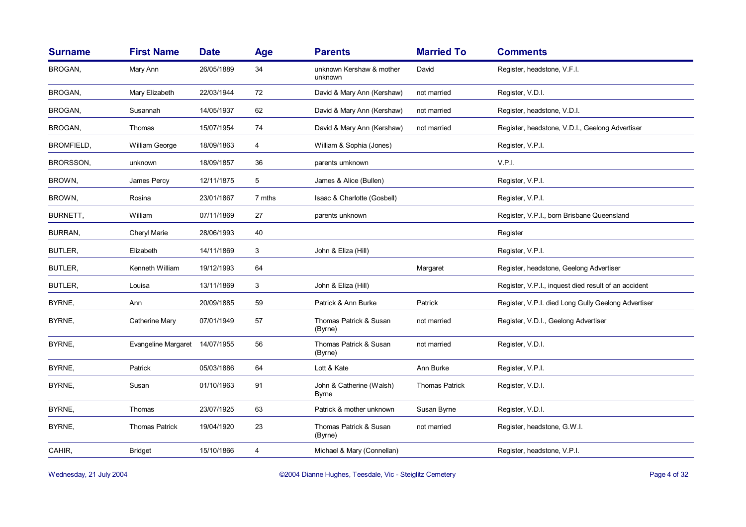| <b>Surname</b>    | <b>First Name</b>     | <b>Date</b> | <b>Age</b> | <b>Parents</b>                      | <b>Married To</b>     | <b>Comments</b>                                      |
|-------------------|-----------------------|-------------|------------|-------------------------------------|-----------------------|------------------------------------------------------|
| BROGAN,           | Mary Ann              | 26/05/1889  | 34         | unknown Kershaw & mother<br>unknown | David                 | Register, headstone, V.F.I.                          |
| BROGAN,           | Mary Elizabeth        | 22/03/1944  | 72         | David & Mary Ann (Kershaw)          | not married           | Register, V.D.I.                                     |
| BROGAN,           | Susannah              | 14/05/1937  | 62         | David & Mary Ann (Kershaw)          | not married           | Register, headstone, V.D.I.                          |
| BROGAN,           | Thomas                | 15/07/1954  | 74         | David & Mary Ann (Kershaw)          | not married           | Register, headstone, V.D.I., Geelong Advertiser      |
| <b>BROMFIELD,</b> | William George        | 18/09/1863  | 4          | William & Sophia (Jones)            |                       | Register, V.P.I.                                     |
| BRORSSON,         | unknown               | 18/09/1857  | 36         | parents umknown                     |                       | V.P.I.                                               |
| BROWN,            | James Percy           | 12/11/1875  | 5          | James & Alice (Bullen)              |                       | Register, V.P.I.                                     |
| BROWN,            | Rosina                | 23/01/1867  | 7 mths     | Isaac & Charlotte (Gosbell)         |                       | Register, V.P.I.                                     |
| BURNETT,          | William               | 07/11/1869  | 27         | parents unknown                     |                       | Register, V.P.I., born Brisbane Queensland           |
| BURRAN,           | Cheryl Marie          | 28/06/1993  | 40         |                                     |                       | Register                                             |
| BUTLER,           | Elizabeth             | 14/11/1869  | 3          | John & Eliza (Hill)                 |                       | Register, V.P.I.                                     |
| BUTLER,           | Kenneth William       | 19/12/1993  | 64         |                                     | Margaret              | Register, headstone, Geelong Advertiser              |
| BUTLER,           | Louisa                | 13/11/1869  | 3          | John & Eliza (Hill)                 |                       | Register, V.P.I., inquest died result of an accident |
| BYRNE,            | Ann                   | 20/09/1885  | 59         | Patrick & Ann Burke                 | Patrick               | Register, V.P.I. died Long Gully Geelong Advertiser  |
| BYRNE,            | <b>Catherine Mary</b> | 07/01/1949  | 57         | Thomas Patrick & Susan<br>(Byrne)   | not married           | Register, V.D.I., Geelong Advertiser                 |
| BYRNE,            | Evangeline Margaret   | 14/07/1955  | 56         | Thomas Patrick & Susan<br>(Byrne)   | not married           | Register, V.D.I.                                     |
| BYRNE,            | Patrick               | 05/03/1886  | 64         | Lott & Kate                         | Ann Burke             | Register, V.P.I.                                     |
| BYRNE,            | Susan                 | 01/10/1963  | 91         | John & Catherine (Walsh)<br>Byrne   | <b>Thomas Patrick</b> | Register, V.D.I.                                     |
| BYRNE,            | Thomas                | 23/07/1925  | 63         | Patrick & mother unknown            | Susan Byrne           | Register, V.D.I.                                     |
| BYRNE,            | <b>Thomas Patrick</b> | 19/04/1920  | 23         | Thomas Patrick & Susan<br>(Byrne)   | not married           | Register, headstone, G.W.I.                          |
| CAHIR,            | <b>Bridget</b>        | 15/10/1866  | 4          | Michael & Mary (Connellan)          |                       | Register, headstone, V.P.I.                          |

Wednesday, 21 July 2004 **Dianne Hughes, Teesdale, Vic-Steiglitz Cemetery** Page 4 of 32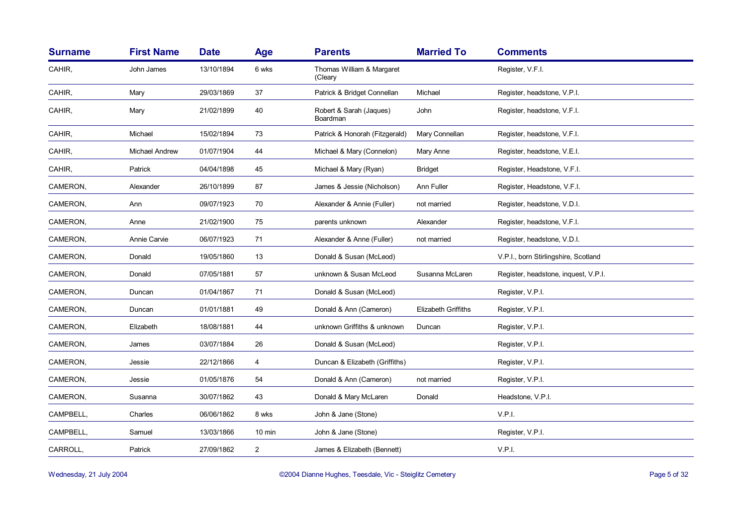| <b>Surname</b> | <b>First Name</b> | <b>Date</b> | <b>Age</b>     | <b>Parents</b>                       | <b>Married To</b>          | <b>Comments</b>                      |
|----------------|-------------------|-------------|----------------|--------------------------------------|----------------------------|--------------------------------------|
| CAHIR,         | John James        | 13/10/1894  | 6 wks          | Thomas William & Margaret<br>(Cleary |                            | Register, V.F.I.                     |
| CAHIR,         | Mary              | 29/03/1869  | 37             | Patrick & Bridget Connellan          | Michael                    | Register, headstone, V.P.I.          |
| CAHIR,         | Mary              | 21/02/1899  | 40             | Robert & Sarah (Jaques)<br>Boardman  | John                       | Register, headstone, V.F.I.          |
| CAHIR,         | Michael           | 15/02/1894  | 73             | Patrick & Honorah (Fitzgerald)       | Mary Connellan             | Register, headstone, V.F.I.          |
| CAHIR,         | Michael Andrew    | 01/07/1904  | 44             | Michael & Mary (Connelon)            | Mary Anne                  | Register, headstone, V.E.I.          |
| CAHIR,         | Patrick           | 04/04/1898  | 45             | Michael & Mary (Ryan)                | <b>Bridget</b>             | Register, Headstone, V.F.I.          |
| CAMERON,       | Alexander         | 26/10/1899  | 87             | James & Jessie (Nicholson)           | Ann Fuller                 | Register, Headstone, V.F.I.          |
| CAMERON,       | Ann               | 09/07/1923  | 70             | Alexander & Annie (Fuller)           | not married                | Register, headstone, V.D.I.          |
| CAMERON,       | Anne              | 21/02/1900  | 75             | parents unknown                      | Alexander                  | Register, headstone, V.F.I.          |
| CAMERON,       | Annie Carvie      | 06/07/1923  | 71             | Alexander & Anne (Fuller)            | not married                | Register, headstone, V.D.I.          |
| CAMERON,       | Donald            | 19/05/1860  | 13             | Donald & Susan (McLeod)              |                            | V.P.I., born Stirlingshire, Scotland |
| CAMERON,       | Donald            | 07/05/1881  | 57             | unknown & Susan McLeod               | Susanna McLaren            | Register, headstone, inquest, V.P.I. |
| CAMERON,       | Duncan            | 01/04/1867  | 71             | Donald & Susan (McLeod)              |                            | Register, V.P.I.                     |
| CAMERON,       | Duncan            | 01/01/1881  | 49             | Donald & Ann (Cameron)               | <b>Elizabeth Griffiths</b> | Register, V.P.I.                     |
| CAMERON,       | Elizabeth         | 18/08/1881  | 44             | unknown Griffiths & unknown          | Duncan                     | Register, V.P.I.                     |
| CAMERON,       | James             | 03/07/1884  | 26             | Donald & Susan (McLeod)              |                            | Register, V.P.I.                     |
| CAMERON,       | Jessie            | 22/12/1866  | 4              | Duncan & Elizabeth (Griffiths)       |                            | Register, V.P.I.                     |
| CAMERON,       | Jessie            | 01/05/1876  | 54             | Donald & Ann (Cameron)               | not married                | Register, V.P.I.                     |
| CAMERON,       | Susanna           | 30/07/1862  | 43             | Donald & Mary McLaren                | Donald                     | Headstone, V.P.I.                    |
| CAMPBELL,      | Charles           | 06/06/1862  | 8 wks          | John & Jane (Stone)                  |                            | V.P.I.                               |
| CAMPBELL,      | Samuel            | 13/03/1866  | 10 min         | John & Jane (Stone)                  |                            | Register, V.P.I.                     |
| CARROLL,       | Patrick           | 27/09/1862  | $\overline{2}$ | James & Elizabeth (Bennett)          |                            | V.P.I.                               |
|                |                   |             |                |                                      |                            |                                      |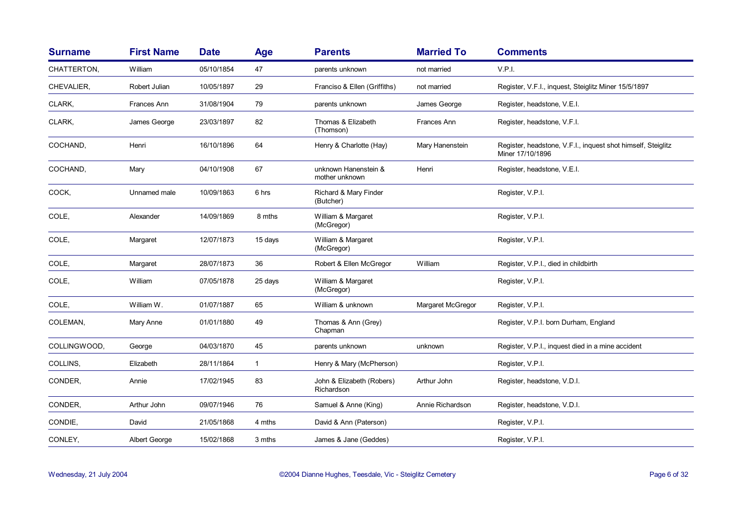| <b>Surname</b> | <b>First Name</b> | <b>Date</b> | Age          | <b>Parents</b>                          | <b>Married To</b> | <b>Comments</b>                                                                  |
|----------------|-------------------|-------------|--------------|-----------------------------------------|-------------------|----------------------------------------------------------------------------------|
| CHATTERTON,    | William           | 05/10/1854  | 47           | parents unknown                         | not married       | V.P.I.                                                                           |
| CHEVALIER,     | Robert Julian     | 10/05/1897  | 29           | Franciso & Ellen (Griffiths)            | not married       | Register, V.F.I., inquest, Steiglitz Miner 15/5/1897                             |
| CLARK,         | Frances Ann       | 31/08/1904  | 79           | parents unknown                         | James George      | Register, headstone, V.E.I.                                                      |
| CLARK,         | James George      | 23/03/1897  | 82           | Thomas & Elizabeth<br>(Thomson)         | Frances Ann       | Register, headstone, V.F.I.                                                      |
| COCHAND,       | Henri             | 16/10/1896  | 64           | Henry & Charlotte (Hay)                 | Mary Hanenstein   | Register, headstone, V.F.I., inquest shot himself, Steiglitz<br>Miner 17/10/1896 |
| COCHAND,       | Mary              | 04/10/1908  | 67           | unknown Hanenstein &<br>mother unknown  | Henri             | Register, headstone, V.E.I.                                                      |
| COCK,          | Unnamed male      | 10/09/1863  | 6 hrs        | Richard & Mary Finder<br>(Butcher)      |                   | Register, V.P.I.                                                                 |
| COLE,          | Alexander         | 14/09/1869  | 8 mths       | William & Margaret<br>(McGregor)        |                   | Register, V.P.I.                                                                 |
| COLE,          | Margaret          | 12/07/1873  | 15 days      | William & Margaret<br>(McGregor)        |                   | Register, V.P.I.                                                                 |
| COLE,          | Margaret          | 28/07/1873  | 36           | Robert & Ellen McGregor                 | William           | Register, V.P.I., died in childbirth                                             |
| COLE,          | William           | 07/05/1878  | 25 days      | William & Margaret<br>(McGregor)        |                   | Register, V.P.I.                                                                 |
| COLE,          | William W.        | 01/07/1887  | 65           | William & unknown                       | Margaret McGregor | Register, V.P.I.                                                                 |
| COLEMAN,       | Mary Anne         | 01/01/1880  | 49           | Thomas & Ann (Grey)<br>Chapman          |                   | Register, V.P.I. born Durham, England                                            |
| COLLINGWOOD,   | George            | 04/03/1870  | 45           | parents unknown                         | unknown           | Register, V.P.I., inquest died in a mine accident                                |
| COLLINS,       | Elizabeth         | 28/11/1864  | $\mathbf{1}$ | Henry & Mary (McPherson)                |                   | Register, V.P.I.                                                                 |
| CONDER,        | Annie             | 17/02/1945  | 83           | John & Elizabeth (Robers)<br>Richardson | Arthur John       | Register, headstone, V.D.I.                                                      |
| CONDER,        | Arthur John       | 09/07/1946  | 76           | Samuel & Anne (King)                    | Annie Richardson  | Register, headstone, V.D.I.                                                      |
| CONDIE,        | David             | 21/05/1868  | 4 mths       | David & Ann (Paterson)                  |                   | Register, V.P.I.                                                                 |
| CONLEY,        | Albert George     | 15/02/1868  | 3 mths       | James & Jane (Geddes)                   |                   | Register, V.P.I.                                                                 |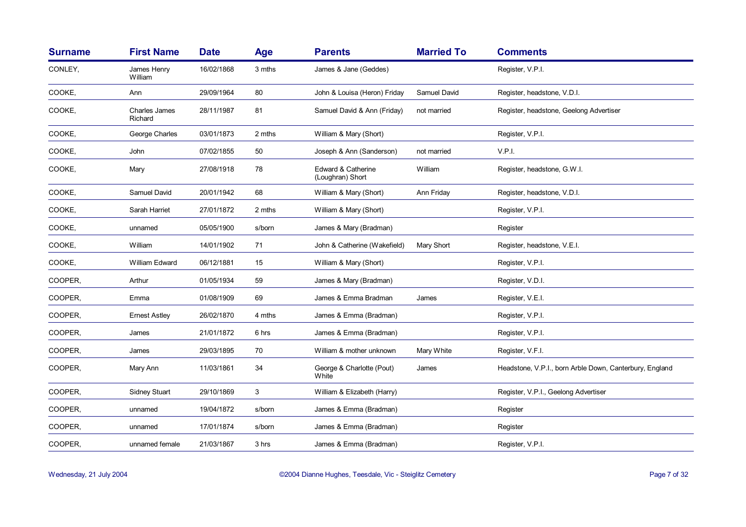| <b>Surname</b> | <b>First Name</b>        | <b>Date</b> | <b>Age</b> | <b>Parents</b>                         | <b>Married To</b> | <b>Comments</b>                                         |
|----------------|--------------------------|-------------|------------|----------------------------------------|-------------------|---------------------------------------------------------|
| CONLEY,        | James Henry<br>William   | 16/02/1868  | 3 mths     | James & Jane (Geddes)                  |                   | Register, V.P.I.                                        |
| COOKE,         | Ann                      | 29/09/1964  | 80         | John & Louisa (Heron) Friday           | Samuel David      | Register, headstone, V.D.I.                             |
| COOKE,         | Charles James<br>Richard | 28/11/1987  | 81         | Samuel David & Ann (Friday)            | not married       | Register, headstone, Geelong Advertiser                 |
| COOKE.         | George Charles           | 03/01/1873  | 2 mths     | William & Mary (Short)                 |                   | Register, V.P.I.                                        |
| COOKE.         | John                     | 07/02/1855  | 50         | Joseph & Ann (Sanderson)               | not married       | V.P.I.                                                  |
| COOKE,         | Mary                     | 27/08/1918  | 78         | Edward & Catherine<br>(Loughran) Short | William           | Register, headstone, G.W.I.                             |
| COOKE,         | Samuel David             | 20/01/1942  | 68         | William & Mary (Short)                 | Ann Friday        | Register, headstone, V.D.I.                             |
| COOKE,         | Sarah Harriet            | 27/01/1872  | 2 mths     | William & Mary (Short)                 |                   | Register, V.P.I.                                        |
| COOKE,         | unnamed                  | 05/05/1900  | s/born     | James & Mary (Bradman)                 |                   | Register                                                |
| COOKE,         | William                  | 14/01/1902  | 71         | John & Catherine (Wakefield)           | Mary Short        | Register, headstone, V.E.I.                             |
| COOKE,         | William Edward           | 06/12/1881  | 15         | William & Mary (Short)                 |                   | Register, V.P.I.                                        |
| COOPER.        | Arthur                   | 01/05/1934  | 59         | James & Mary (Bradman)                 |                   | Register, V.D.I.                                        |
| COOPER,        | Emma                     | 01/08/1909  | 69         | James & Emma Bradman                   | James             | Register, V.E.I.                                        |
| COOPER,        | <b>Ernest Astley</b>     | 26/02/1870  | 4 mths     | James & Emma (Bradman)                 |                   | Register, V.P.I.                                        |
| COOPER,        | James                    | 21/01/1872  | 6 hrs      | James & Emma (Bradman)                 |                   | Register, V.P.I.                                        |
| COOPER,        | James                    | 29/03/1895  | 70         | William & mother unknown               | Mary White        | Register, V.F.I.                                        |
| COOPER,        | Mary Ann                 | 11/03/1861  | 34         | George & Charlotte (Pout)<br>White     | James             | Headstone, V.P.I., born Arble Down, Canterbury, England |
| COOPER,        | <b>Sidney Stuart</b>     | 29/10/1869  | 3          | William & Elizabeth (Harry)            |                   | Register, V.P.I., Geelong Advertiser                    |
| COOPER,        | unnamed                  | 19/04/1872  | s/born     | James & Emma (Bradman)                 |                   | Register                                                |
| COOPER,        | unnamed                  | 17/01/1874  | s/born     | James & Emma (Bradman)                 |                   | Register                                                |
| COOPER,        | unnamed female           | 21/03/1867  | 3 hrs      | James & Emma (Bradman)                 |                   | Register, V.P.I.                                        |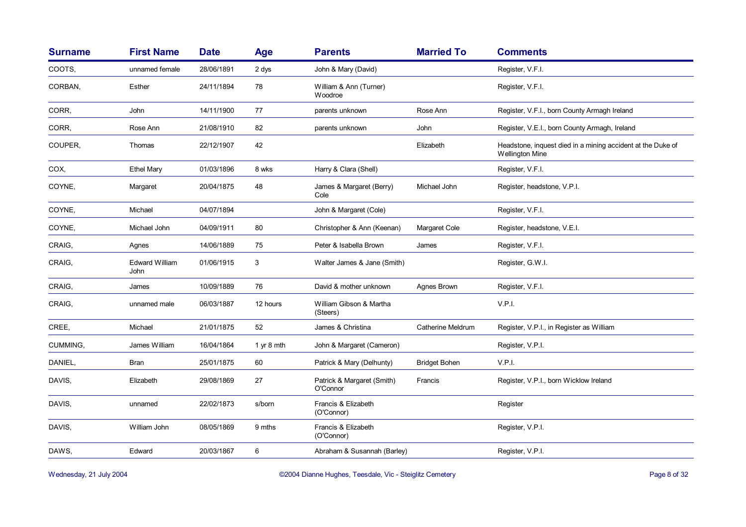| <b>Surname</b> | <b>First Name</b>             | <b>Date</b> | Age        | <b>Parents</b>                         | <b>Married To</b>    | <b>Comments</b>                                                                       |
|----------------|-------------------------------|-------------|------------|----------------------------------------|----------------------|---------------------------------------------------------------------------------------|
| COOTS,         | unnamed female                | 28/06/1891  | 2 dys      | John & Mary (David)                    |                      | Register, V.F.I.                                                                      |
| CORBAN,        | Esther                        | 24/11/1894  | 78         | William & Ann (Turner)<br>Woodroe      |                      | Register, V.F.I.                                                                      |
| CORR.          | John                          | 14/11/1900  | 77         | parents unknown                        | Rose Ann             | Register, V.F.I., born County Armagh Ireland                                          |
| CORR,          | Rose Ann                      | 21/08/1910  | 82         | parents unknown                        | John                 | Register, V.E.I., born County Armagh, Ireland                                         |
| COUPER,        | Thomas                        | 22/12/1907  | 42         |                                        | Elizabeth            | Headstone, inquest died in a mining accident at the Duke of<br><b>Wellington Mine</b> |
| COX,           | <b>Ethel Mary</b>             | 01/03/1896  | 8 wks      | Harry & Clara (Shell)                  |                      | Register, V.F.I.                                                                      |
| COYNE,         | Margaret                      | 20/04/1875  | 48         | James & Margaret (Berry)<br>Cole       | Michael John         | Register, headstone, V.P.I.                                                           |
| COYNE,         | Michael                       | 04/07/1894  |            | John & Margaret (Cole)                 |                      | Register, V.F.I.                                                                      |
| COYNE,         | Michael John                  | 04/09/1911  | 80         | Christopher & Ann (Keenan)             | Margaret Cole        | Register, headstone, V.E.I.                                                           |
| CRAIG,         | Agnes                         | 14/06/1889  | 75         | Peter & Isabella Brown                 | James                | Register, V.F.I.                                                                      |
| CRAIG,         | <b>Edward William</b><br>John | 01/06/1915  | 3          | Walter James & Jane (Smith)            |                      | Register, G.W.I.                                                                      |
| CRAIG.         | James                         | 10/09/1889  | 76         | David & mother unknown                 | Agnes Brown          | Register, V.F.I.                                                                      |
| CRAIG.         | unnamed male                  | 06/03/1887  | 12 hours   | William Gibson & Martha<br>(Steers)    |                      | V.P.I.                                                                                |
| CREE,          | Michael                       | 21/01/1875  | 52         | James & Christina                      | Catherine Meldrum    | Register, V.P.I., in Register as William                                              |
| CUMMING,       | James William                 | 16/04/1864  | 1 yr 8 mth | John & Margaret (Cameron)              |                      | Register, V.P.I.                                                                      |
| DANIEL,        | <b>Bran</b>                   | 25/01/1875  | 60         | Patrick & Mary (Delhunty)              | <b>Bridget Bohen</b> | V.P.I.                                                                                |
| DAVIS,         | Elizabeth                     | 29/08/1869  | 27         | Patrick & Margaret (Smith)<br>O'Connor | Francis              | Register, V.P.I., born Wicklow Ireland                                                |
| DAVIS,         | unnamed                       | 22/02/1873  | s/born     | Francis & Elizabeth<br>(O'Connor)      |                      | Register                                                                              |
| DAVIS,         | William John                  | 08/05/1869  | 9 mths     | Francis & Elizabeth<br>(O'Connor)      |                      | Register, V.P.I.                                                                      |
| DAWS,          | Edward                        | 20/03/1867  | 6          | Abraham & Susannah (Barley)            |                      | Register, V.P.I.                                                                      |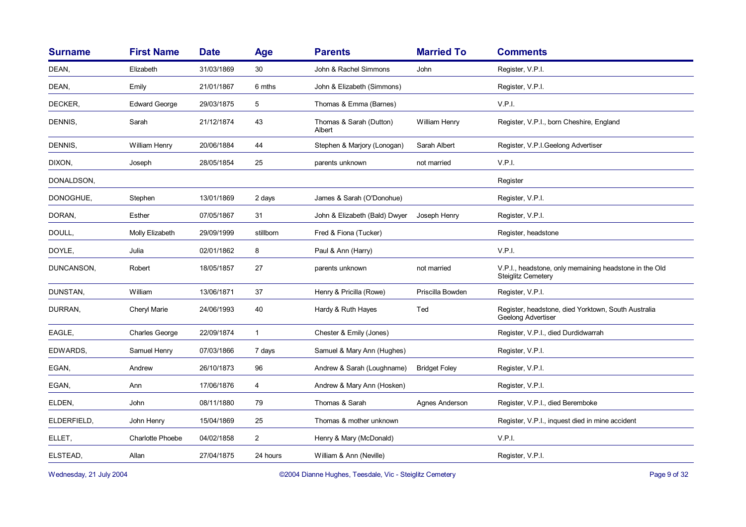| <b>Surname</b> | <b>First Name</b>       | <b>Date</b> | Age            | <b>Parents</b>                    | <b>Married To</b>    | <b>Comments</b>                                                                     |
|----------------|-------------------------|-------------|----------------|-----------------------------------|----------------------|-------------------------------------------------------------------------------------|
| DEAN,          | Elizabeth               | 31/03/1869  | 30             | John & Rachel Simmons             | John                 | Register, V.P.I.                                                                    |
| DEAN,          | Emily                   | 21/01/1867  | 6 mths         | John & Elizabeth (Simmons)        |                      | Register, V.P.I.                                                                    |
| DECKER,        | <b>Edward George</b>    | 29/03/1875  | 5              | Thomas & Emma (Barnes)            |                      | V.P.I.                                                                              |
| DENNIS,        | Sarah                   | 21/12/1874  | 43             | Thomas & Sarah (Dutton)<br>Albert | William Henry        | Register, V.P.I., born Cheshire, England                                            |
| DENNIS,        | William Henry           | 20/06/1884  | 44             | Stephen & Marjory (Lonogan)       | Sarah Albert         | Register, V.P.I.Geelong Advertiser                                                  |
| DIXON,         | Joseph                  | 28/05/1854  | 25             | parents unknown                   | not married          | V.P.I.                                                                              |
| DONALDSON,     |                         |             |                |                                   |                      | Register                                                                            |
| DONOGHUE,      | Stephen                 | 13/01/1869  | 2 days         | James & Sarah (O'Donohue)         |                      | Register, V.P.I.                                                                    |
| DORAN,         | Esther                  | 07/05/1867  | 31             | John & Elizabeth (Bald) Dwyer     | Joseph Henry         | Register, V.P.I.                                                                    |
| DOULL,         | Molly Elizabeth         | 29/09/1999  | stillborn      | Fred & Fiona (Tucker)             |                      | Register, headstone                                                                 |
| DOYLE,         | Julia                   | 02/01/1862  | 8              | Paul & Ann (Harry)                |                      | V.P.I.                                                                              |
| DUNCANSON,     | Robert                  | 18/05/1857  | 27             | parents unknown                   | not married          | V.P.I., headstone, only memaining headstone in the Old<br><b>Steiglitz Cemetery</b> |
| DUNSTAN,       | William                 | 13/06/1871  | 37             | Henry & Pricilla (Rowe)           | Priscilla Bowden     | Register, V.P.I.                                                                    |
| DURRAN,        | Cheryl Marie            | 24/06/1993  | 40             | Hardy & Ruth Hayes                | Ted                  | Register, headstone, died Yorktown, South Australia<br>Geelong Advertiser           |
| EAGLE,         | Charles George          | 22/09/1874  | $\mathbf{1}$   | Chester & Emily (Jones)           |                      | Register, V.P.I., died Durdidwarrah                                                 |
| EDWARDS,       | Samuel Henry            | 07/03/1866  | 7 days         | Samuel & Mary Ann (Hughes)        |                      | Register, V.P.I.                                                                    |
| EGAN,          | Andrew                  | 26/10/1873  | 96             | Andrew & Sarah (Loughname)        | <b>Bridget Foley</b> | Register, V.P.I.                                                                    |
| EGAN,          | Ann                     | 17/06/1876  | 4              | Andrew & Mary Ann (Hosken)        |                      | Register, V.P.I.                                                                    |
| ELDEN,         | John                    | 08/11/1880  | 79             | Thomas & Sarah                    | Agnes Anderson       | Register, V.P.I., died Beremboke                                                    |
| ELDERFIELD,    | John Henry              | 15/04/1869  | 25             | Thomas & mother unknown           |                      | Register, V.P.I., inquest died in mine accident                                     |
| ELLET,         | <b>Charlotte Phoebe</b> | 04/02/1858  | $\overline{2}$ | Henry & Mary (McDonald)           |                      | V.P.I.                                                                              |
| ELSTEAD,       | Allan                   | 27/04/1875  | 24 hours       | William & Ann (Neville)           |                      | Register, V.P.I.                                                                    |
|                |                         |             |                |                                   |                      |                                                                                     |

Wednesday, 21 July 2004 **Dianne Hughes, Teesdale, Vic - Steiglitz Cemetery** Page 9 of 32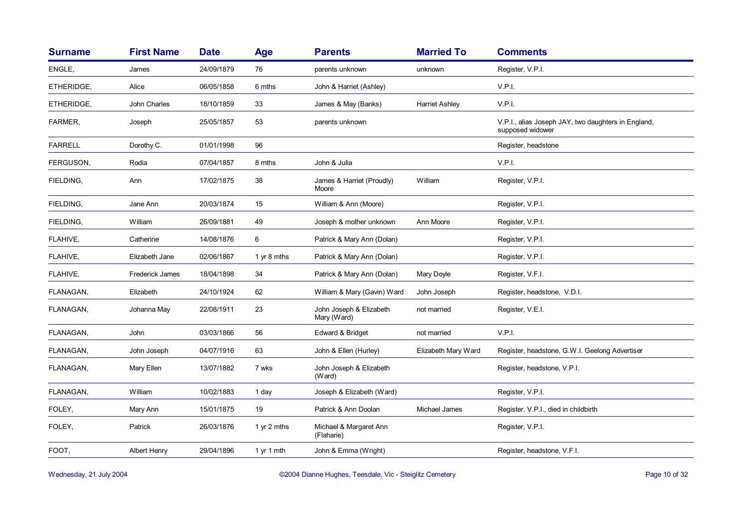| <b>Surname</b> | <b>First Name</b>   | <b>Date</b> | Age         | <b>Parents</b>                         | <b>Married To</b>     | <b>Comments</b>                                                         |
|----------------|---------------------|-------------|-------------|----------------------------------------|-----------------------|-------------------------------------------------------------------------|
| ENGLE,         | James               | 24/09/1879  | 76          | parents unknown                        | unknown               | Register, V.P.I.                                                        |
| ETHERIDGE,     | Alice               | 06/05/1858  | 6 mths      | John & Harriet (Ashley)                |                       | V.P.I.                                                                  |
| ETHERIDGE,     | John Charles        | 18/10/1859  | 33          | James & May (Banks)                    | <b>Harriet Ashley</b> | V.P.I.                                                                  |
| FARMER,        | Joseph              | 25/05/1857  | 53          | parents unknown                        |                       | V.P.I., alias Joseph JAY, two daughters in England,<br>supposed widower |
| <b>FARRELL</b> | Dorothy C.          | 01/01/1998  | 96          |                                        |                       | Register, headstone                                                     |
| FERGUSON,      | Rodia               | 07/04/1857  | 8 mths      | John & Julia                           |                       | V.P.I.                                                                  |
| FIELDING,      | Ann                 | 17/02/1875  | 38          | James & Harriet (Proudly)<br>Moore     | William               | Register, V.P.I.                                                        |
| FIELDING,      | Jane Ann            | 20/03/1874  | 15          | William & Ann (Moore)                  |                       | Register, V.P.I.                                                        |
| FIELDING,      | William             | 26/09/1881  | 49          | Joseph & mother unknown                | Ann Moore             | Register, V.P.I.                                                        |
| FLAHIVE,       | Catherine           | 14/08/1876  | 6           | Patrick & Mary Ann (Dolan)             |                       | Register, V.P.I.                                                        |
| FLAHIVE,       | Elizabeth Jane      | 02/06/1867  | 1 yr 8 mths | Patrick & Mary Ann (Dolan)             |                       | Register, V.P.I.                                                        |
| FLAHIVE,       | Frederick James     | 18/04/1898  | 34          | Patrick & Mary Ann (Dolan)             | Mary Doyle            | Register, V.F.I.                                                        |
| FLANAGAN,      | Elizabeth           | 24/10/1924  | 62          | William & Mary (Gavin) Ward            | John Joseph           | Register, headstone, V.D.I.                                             |
| FLANAGAN,      | Johanna May         | 22/08/1911  | 23          | John Joseph & Elizabeth<br>Mary (Ward) | not married           | Register, V.E.I.                                                        |
| FLANAGAN,      | John                | 03/03/1866  | 56          | Edward & Bridget                       | not married           | V.P.I.                                                                  |
| FLANAGAN,      | John Joseph         | 04/07/1916  | 63          | John & Ellen (Hurley)                  | Elizabeth Mary Ward   | Register, headstone, G.W.I. Geelong Advertiser                          |
| FLANAGAN,      | Mary Ellen          | 13/07/1882  | 7 wks       | John Joseph & Elizabeth<br>(Ward)      |                       | Register, headstone, V.P.I.                                             |
| FLANAGAN,      | William             | 10/02/1883  | 1 day       | Joseph & Elizabeth (Ward)              |                       | Register, V.P.I.                                                        |
| FOLEY,         | Mary Ann            | 15/01/1875  | 19          | Patrick & Ann Doolan                   | Michael James         | Register, V.P.I., died in childbirth                                    |
| FOLEY,         | Patrick             | 26/03/1876  | 1 yr 2 mths | Michael & Margaret Ann<br>(Flaharie)   |                       | Register, V.P.I.                                                        |
| FOOT,          | <b>Albert Henry</b> | 29/04/1896  | 1 yr 1 mth  | John & Emma (Wright)                   |                       | Register, headstone, V.F.I.                                             |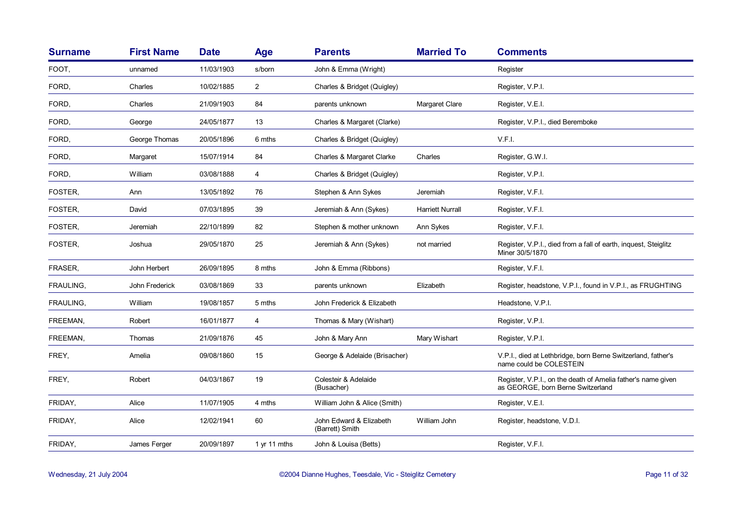| <b>Surname</b> | <b>First Name</b> | <b>Date</b> | <b>Age</b>     | <b>Parents</b>                             | <b>Married To</b>       | <b>Comments</b>                                                                                   |
|----------------|-------------------|-------------|----------------|--------------------------------------------|-------------------------|---------------------------------------------------------------------------------------------------|
| FOOT,          | unnamed           | 11/03/1903  | s/born         | John & Emma (Wright)                       |                         | Register                                                                                          |
| FORD,          | Charles           | 10/02/1885  | $\overline{2}$ | Charles & Bridget (Quigley)                |                         | Register, V.P.I.                                                                                  |
| FORD,          | Charles           | 21/09/1903  | 84             | parents unknown                            | Margaret Clare          | Register, V.E.I.                                                                                  |
| FORD,          | George            | 24/05/1877  | 13             | Charles & Margaret (Clarke)                |                         | Register, V.P.I., died Beremboke                                                                  |
| FORD,          | George Thomas     | 20/05/1896  | 6 mths         | Charles & Bridget (Quigley)                |                         | V.F.I.                                                                                            |
| FORD,          | Margaret          | 15/07/1914  | 84             | Charles & Margaret Clarke                  | Charles                 | Register, G.W.I.                                                                                  |
| FORD,          | William           | 03/08/1888  | 4              | Charles & Bridget (Quigley)                |                         | Register, V.P.I.                                                                                  |
| FOSTER.        | Ann               | 13/05/1892  | 76             | Stephen & Ann Sykes                        | Jeremiah                | Register, V.F.I.                                                                                  |
| FOSTER,        | David             | 07/03/1895  | 39             | Jeremiah & Ann (Sykes)                     | <b>Harriett Nurrall</b> | Register, V.F.I.                                                                                  |
| FOSTER,        | Jeremiah          | 22/10/1899  | 82             | Stephen & mother unknown                   | Ann Sykes               | Register, V.F.I.                                                                                  |
| FOSTER,        | Joshua            | 29/05/1870  | 25             | Jeremiah & Ann (Sykes)                     | not married             | Register, V.P.I., died from a fall of earth, inquest, Steiglitz<br>Miner 30/5/1870                |
| FRASER,        | John Herbert      | 26/09/1895  | 8 mths         | John & Emma (Ribbons)                      |                         | Register, V.F.I.                                                                                  |
| FRAULING,      | John Frederick    | 03/08/1869  | 33             | parents unknown                            | Elizabeth               | Register, headstone, V.P.I., found in V.P.I., as FRUGHTING                                        |
| FRAULING.      | William           | 19/08/1857  | 5 mths         | John Frederick & Elizabeth                 |                         | Headstone, V.P.I.                                                                                 |
| FREEMAN.       | Robert            | 16/01/1877  | 4              | Thomas & Mary (Wishart)                    |                         | Register, V.P.I.                                                                                  |
| FREEMAN,       | Thomas            | 21/09/1876  | 45             | John & Mary Ann                            | Mary Wishart            | Register, V.P.I.                                                                                  |
| FREY,          | Amelia            | 09/08/1860  | 15             | George & Adelaide (Brisacher)              |                         | V.P.I., died at Lethbridge, born Berne Switzerland, father's<br>name could be COLESTEIN           |
| FREY,          | Robert            | 04/03/1867  | 19             | Colesteir & Adelaide<br>(Busacher)         |                         | Register, V.P.I., on the death of Amelia father's name given<br>as GEORGE, born Berne Switzerland |
| FRIDAY,        | Alice             | 11/07/1905  | 4 mths         | William John & Alice (Smith)               |                         | Register, V.E.I.                                                                                  |
| FRIDAY,        | Alice             | 12/02/1941  | 60             | John Edward & Elizabeth<br>(Barrett) Smith | William John            | Register, headstone, V.D.I.                                                                       |
| FRIDAY,        | James Ferger      | 20/09/1897  | 1 $yr$ 11 mths | John & Louisa (Betts)                      |                         | Register, V.F.I.                                                                                  |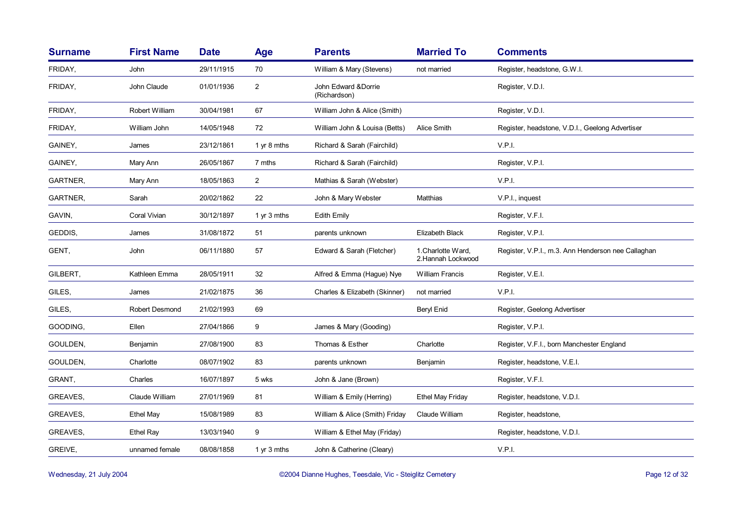| <b>Surname</b> | <b>First Name</b>     | <b>Date</b> | <b>Age</b>     | <b>Parents</b>                      | <b>Married To</b>                        | <b>Comments</b>                                    |
|----------------|-----------------------|-------------|----------------|-------------------------------------|------------------------------------------|----------------------------------------------------|
| FRIDAY,        | John                  | 29/11/1915  | 70             | William & Mary (Stevens)            | not married                              | Register, headstone, G.W.I.                        |
| FRIDAY,        | John Claude           | 01/01/1936  | $\overline{2}$ | John Edward &Dorrie<br>(Richardson) |                                          | Register, V.D.I.                                   |
| FRIDAY,        | Robert William        | 30/04/1981  | 67             | William John & Alice (Smith)        |                                          | Register, V.D.I.                                   |
| FRIDAY,        | William John          | 14/05/1948  | 72             | William John & Louisa (Betts)       | Alice Smith                              | Register, headstone, V.D.I., Geelong Advertiser    |
| GAINEY,        | James                 | 23/12/1861  | 1 yr 8 mths    | Richard & Sarah (Fairchild)         |                                          | V.P.I.                                             |
| GAINEY,        | Mary Ann              | 26/05/1867  | 7 mths         | Richard & Sarah (Fairchild)         |                                          | Register, V.P.I.                                   |
| GARTNER,       | Mary Ann              | 18/05/1863  | $\overline{2}$ | Mathias & Sarah (Webster)           |                                          | V.P.I.                                             |
| GARTNER,       | Sarah                 | 20/02/1862  | 22             | John & Mary Webster                 | <b>Matthias</b>                          | V.P.I., inquest                                    |
| GAVIN,         | Coral Vivian          | 30/12/1897  | 1 yr 3 mths    | Edith Emily                         |                                          | Register, V.F.I.                                   |
| GEDDIS,        | James                 | 31/08/1872  | 51             | parents unknown                     | Elizabeth Black                          | Register, V.P.I.                                   |
| GENT,          | John                  | 06/11/1880  | 57             | Edward & Sarah (Fletcher)           | 1. Charlotte Ward,<br>2. Hannah Lockwood | Register, V.P.I., m.3. Ann Henderson nee Callaghan |
| GILBERT,       | Kathleen Emma         | 28/05/1911  | 32             | Alfred & Emma (Hague) Nye           | <b>William Francis</b>                   | Register, V.E.I.                                   |
| GILES,         | James                 | 21/02/1875  | 36             | Charles & Elizabeth (Skinner)       | not married                              | V.P.I.                                             |
| GILES,         | <b>Robert Desmond</b> | 21/02/1993  | 69             |                                     | Beryl Enid                               | Register, Geelong Advertiser                       |
| GOODING,       | Ellen                 | 27/04/1866  | 9              | James & Mary (Gooding)              |                                          | Register, V.P.I.                                   |
| GOULDEN,       | Benjamin              | 27/08/1900  | 83             | Thomas & Esther                     | Charlotte                                | Register, V.F.I., born Manchester England          |
| GOULDEN,       | Charlotte             | 08/07/1902  | 83             | parents unknown                     | Benjamin                                 | Register, headstone, V.E.I.                        |
| GRANT,         | Charles               | 16/07/1897  | 5 wks          | John & Jane (Brown)                 |                                          | Register, V.F.I.                                   |
| GREAVES,       | Claude William        | 27/01/1969  | 81             | William & Emily (Herring)           | Ethel May Friday                         | Register, headstone, V.D.I.                        |
| GREAVES,       | <b>Ethel May</b>      | 15/08/1989  | 83             | William & Alice (Smith) Friday      | Claude William                           | Register, headstone,                               |
| GREAVES,       | Ethel Ray             | 13/03/1940  | 9              | William & Ethel May (Friday)        |                                          | Register, headstone, V.D.I.                        |
| GREIVE,        | unnamed female        | 08/08/1858  | 1 yr 3 mths    | John & Catherine (Cleary)           |                                          | V.P.I.                                             |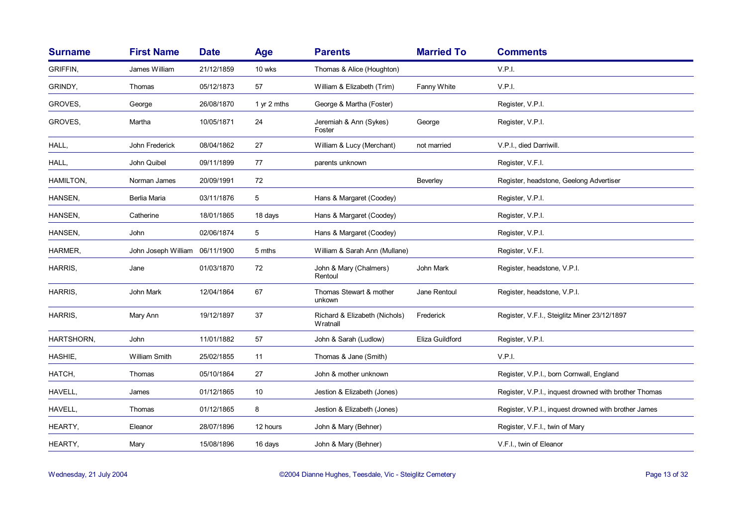| <b>Surname</b> | <b>First Name</b>   | <b>Date</b> | <b>Age</b>  | <b>Parents</b>                            | <b>Married To</b> | <b>Comments</b>                                       |
|----------------|---------------------|-------------|-------------|-------------------------------------------|-------------------|-------------------------------------------------------|
| GRIFFIN,       | James William       | 21/12/1859  | 10 wks      | Thomas & Alice (Houghton)                 |                   | V.P.I.                                                |
| GRINDY,        | Thomas              | 05/12/1873  | 57          | William & Elizabeth (Trim)                | Fanny White       | V.P.I.                                                |
| GROVES,        | George              | 26/08/1870  | 1 yr 2 mths | George & Martha (Foster)                  |                   | Register, V.P.I.                                      |
| GROVES,        | Martha              | 10/05/1871  | 24          | Jeremiah & Ann (Sykes)<br>Foster          | George            | Register, V.P.I.                                      |
| HALL,          | John Frederick      | 08/04/1862  | 27          | William & Lucy (Merchant)                 | not married       | V.P.I., died Darriwill.                               |
| HALL,          | John Quibel         | 09/11/1899  | 77          | parents unknown                           |                   | Register, V.F.I.                                      |
| HAMILTON,      | Norman James        | 20/09/1991  | 72          |                                           | <b>Beverley</b>   | Register, headstone, Geelong Advertiser               |
| HANSEN,        | Berlia Maria        | 03/11/1876  | 5           | Hans & Margaret (Coodey)                  |                   | Register, V.P.I.                                      |
| HANSEN,        | Catherine           | 18/01/1865  | 18 days     | Hans & Margaret (Coodey)                  |                   | Register, V.P.I.                                      |
| HANSEN,        | John                | 02/06/1874  | 5           | Hans & Margaret (Coodey)                  |                   | Register, V.P.I.                                      |
| HARMER,        | John Joseph William | 06/11/1900  | 5 mths      | William & Sarah Ann (Mullane)             |                   | Register, V.F.I.                                      |
| HARRIS,        | Jane                | 01/03/1870  | 72          | John & Mary (Chalmers)<br>Rentoul         | John Mark         | Register, headstone, V.P.I.                           |
| HARRIS,        | John Mark           | 12/04/1864  | 67          | Thomas Stewart & mother<br>unkown         | Jane Rentoul      | Register, headstone, V.P.I.                           |
| HARRIS,        | Mary Ann            | 19/12/1897  | 37          | Richard & Elizabeth (Nichols)<br>Wratnall | Frederick         | Register, V.F.I., Steiglitz Miner 23/12/1897          |
| HARTSHORN,     | John                | 11/01/1882  | 57          | John & Sarah (Ludlow)                     | Eliza Guildford   | Register, V.P.I.                                      |
| HASHIE,        | William Smith       | 25/02/1855  | 11          | Thomas & Jane (Smith)                     |                   | V.P.I.                                                |
| HATCH,         | Thomas              | 05/10/1864  | 27          | John & mother unknown                     |                   | Register, V.P.I., born Cornwall, England              |
| HAVELL,        | James               | 01/12/1865  | 10          | Jestion & Elizabeth (Jones)               |                   | Register, V.P.I., inquest drowned with brother Thomas |
| HAVELL,        | Thomas              | 01/12/1865  | 8           | Jestion & Elizabeth (Jones)               |                   | Register, V.P.I., inquest drowned with brother James  |
| HEARTY,        | Eleanor             | 28/07/1896  | 12 hours    | John & Mary (Behner)                      |                   | Register, V.F.I., twin of Mary                        |
| HEARTY,        | Mary                | 15/08/1896  | 16 days     | John & Mary (Behner)                      |                   | V.F.I., twin of Eleanor                               |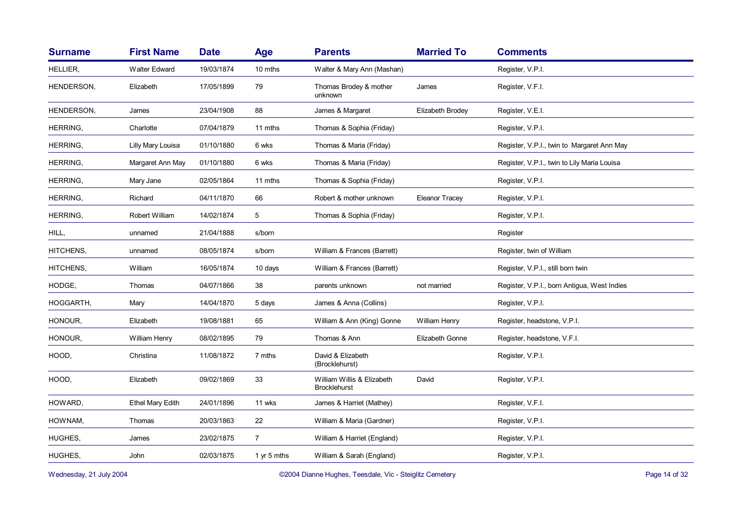|                 |                         |            | Age            | <b>Parents</b>                                    | <b>Married To</b>     | <b>Comments</b>                             |
|-----------------|-------------------------|------------|----------------|---------------------------------------------------|-----------------------|---------------------------------------------|
| HELLIER,        | <b>Walter Edward</b>    | 19/03/1874 | 10 mths        | Walter & Mary Ann (Mashan)                        |                       | Register, V.P.I.                            |
| HENDERSON,      | Elizabeth               | 17/05/1899 | 79             | Thomas Brodey & mother<br>unknown                 | James                 | Register, V.F.I.                            |
| HENDERSON,      | James                   | 23/04/1908 | 88             | James & Margaret                                  | Elizabeth Brodey      | Register, V.E.I.                            |
| HERRING,        | Charlotte               | 07/04/1879 | 11 mths        | Thomas & Sophia (Friday)                          |                       | Register, V.P.I.                            |
| HERRING,        | Lilly Mary Louisa       | 01/10/1880 | 6 wks          | Thomas & Maria (Friday)                           |                       | Register, V.P.I., twin to Margaret Ann May  |
| <b>HERRING,</b> | Margaret Ann May        | 01/10/1880 | 6 wks          | Thomas & Maria (Friday)                           |                       | Register, V.P.I., twin to Lily Maria Louisa |
| HERRING,        | Mary Jane               | 02/05/1864 | 11 mths        | Thomas & Sophia (Friday)                          |                       | Register, V.P.I.                            |
| HERRING,        | Richard                 | 04/11/1870 | 66             | Robert & mother unknown                           | <b>Eleanor Tracey</b> | Register, V.P.I.                            |
| HERRING,        | Robert William          | 14/02/1874 | 5              | Thomas & Sophia (Friday)                          |                       | Register, V.P.I.                            |
| HILL,           | unnamed                 | 21/04/1888 | s/born         |                                                   |                       | Register                                    |
| HITCHENS,       | unnamed                 | 08/05/1874 | s/born         | William & Frances (Barrett)                       |                       | Register, twin of William                   |
| HITCHENS,       | William                 | 16/05/1874 | 10 days        | William & Frances (Barrett)                       |                       | Register, V.P.I., still born twin           |
| HODGE,          | Thomas                  | 04/07/1866 | 38             | parents unknown                                   | not married           | Register, V.P.I., born Antigua, West Indies |
| HOGGARTH,       | Mary                    | 14/04/1870 | 5 days         | James & Anna (Collins)                            |                       | Register, V.P.I.                            |
| HONOUR,         | Elizabeth               | 19/08/1881 | 65             | William & Ann (King) Gonne                        | William Henry         | Register, headstone, V.P.I.                 |
| HONOUR,         | William Henry           | 08/02/1895 | 79             | Thomas & Ann                                      | Elizabeth Gonne       | Register, headstone, V.F.I.                 |
| HOOD,           | Christina               | 11/08/1872 | 7 mths         | David & Elizabeth<br>(Brocklehurst)               |                       | Register, V.P.I.                            |
| HOOD,           | Elizabeth               | 09/02/1869 | 33             | William Willis & Elizabeth<br><b>Brocklehurst</b> | David                 | Register, V.P.I.                            |
| HOWARD,         | <b>Ethel Mary Edith</b> | 24/01/1896 | 11 wks         | James & Harriet (Mathey)                          |                       | Register, V.F.I.                            |
| HOWNAM,         | Thomas                  | 20/03/1863 | 22             | William & Maria (Gardner)                         |                       | Register, V.P.I.                            |
| HUGHES,         | James                   | 23/02/1875 | $\overline{7}$ | William & Harriet (England)                       |                       | Register, V.P.I.                            |
| HUGHES,         | John                    | 02/03/1875 | 1 yr 5 mths    | William & Sarah (England)                         |                       | Register, V.P.I.                            |

Wednesday, 21 July 2004 **Dianne Hughes, Teesdale, Vic - Steiglitz Cemetery** Page 14 of 32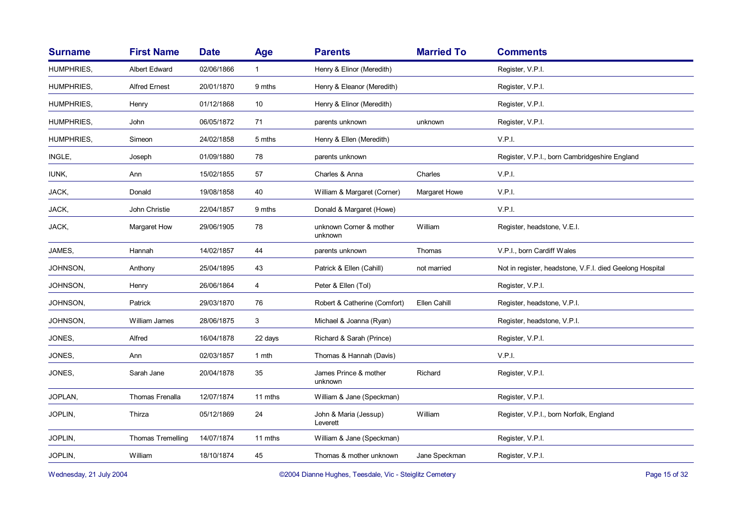| <b>Surname</b>    | <b>First Name</b>    | <b>Date</b> | Age          | <b>Parents</b>                     | <b>Married To</b> | <b>Comments</b>                                          |
|-------------------|----------------------|-------------|--------------|------------------------------------|-------------------|----------------------------------------------------------|
| <b>HUMPHRIES.</b> | <b>Albert Edward</b> | 02/06/1866  | $\mathbf{1}$ | Henry & Elinor (Meredith)          |                   | Register, V.P.I.                                         |
| <b>HUMPHRIES,</b> | <b>Alfred Ernest</b> | 20/01/1870  | 9 mths       | Henry & Eleanor (Meredith)         |                   | Register, V.P.I.                                         |
| HUMPHRIES,        | Henry                | 01/12/1868  | 10           | Henry & Elinor (Meredith)          |                   | Register, V.P.I.                                         |
| HUMPHRIES,        | John                 | 06/05/1872  | 71           | parents unknown                    | unknown           | Register, V.P.I.                                         |
| HUMPHRIES,        | Simeon               | 24/02/1858  | 5 mths       | Henry & Ellen (Meredith)           |                   | V.P.I.                                                   |
| INGLE,            | Joseph               | 01/09/1880  | 78           | parents unknown                    |                   | Register, V.P.I., born Cambridgeshire England            |
| IUNK,             | Ann                  | 15/02/1855  | 57           | Charles & Anna                     | Charles           | V.P.I.                                                   |
| JACK,             | Donald               | 19/08/1858  | 40           | William & Margaret (Corner)        | Margaret Howe     | V.P.I.                                                   |
| JACK,             | John Christie        | 22/04/1857  | 9 mths       | Donald & Margaret (Howe)           |                   | V.P.I.                                                   |
| JACK,             | Margaret How         | 29/06/1905  | 78           | unknown Corner & mother<br>unknown | William           | Register, headstone, V.E.I.                              |
| JAMES,            | Hannah               | 14/02/1857  | 44           | parents unknown                    | Thomas            | V.P.I., born Cardiff Wales                               |
| JOHNSON,          | Anthony              | 25/04/1895  | 43           | Patrick & Ellen (Cahill)           | not married       | Not in register, headstone, V.F.I. died Geelong Hospital |
| JOHNSON,          | Henry                | 26/06/1864  | 4            | Peter & Ellen (Tol)                |                   | Register, V.P.I.                                         |
| JOHNSON,          | Patrick              | 29/03/1870  | 76           | Robert & Catherine (Comfort)       | Ellen Cahill      | Register, headstone, V.P.I.                              |
| JOHNSON,          | William James        | 28/06/1875  | 3            | Michael & Joanna (Ryan)            |                   | Register, headstone, V.P.I.                              |
| JONES,            | Alfred               | 16/04/1878  | 22 days      | Richard & Sarah (Prince)           |                   | Register, V.P.I.                                         |
| JONES,            | Ann                  | 02/03/1857  | 1 mth        | Thomas & Hannah (Davis)            |                   | V.P.I.                                                   |
| JONES,            | Sarah Jane           | 20/04/1878  | 35           | James Prince & mother<br>unknown   | Richard           | Register, V.P.I.                                         |
| JOPLAN,           | Thomas Frenalla      | 12/07/1874  | 11 mths      | William & Jane (Speckman)          |                   | Register, V.P.I.                                         |
| JOPLIN,           | Thirza               | 05/12/1869  | 24           | John & Maria (Jessup)<br>Leverett  | William           | Register, V.P.I., born Norfolk, England                  |
| JOPLIN,           | Thomas Tremelling    | 14/07/1874  | 11 mths      | William & Jane (Speckman)          |                   | Register, V.P.I.                                         |
| JOPLIN.           | William              | 18/10/1874  | 45           | Thomas & mother unknown            | Jane Speckman     | Register, V.P.I.                                         |
|                   |                      |             |              |                                    |                   |                                                          |

Wednesday, 21 July 2004 **Dianne Hughes, Teesdale, Vic - Steiglitz Cemetery** Page 15 of 32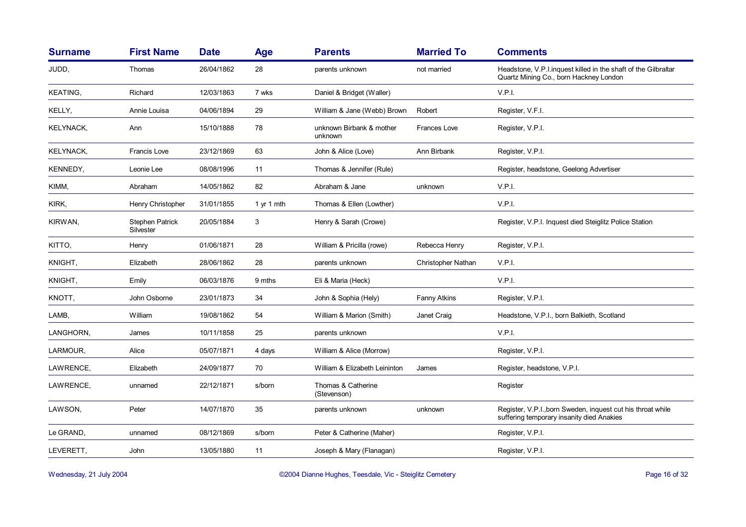| <b>Surname</b>   | <b>First Name</b>            | <b>Date</b> | Age        | <b>Parents</b>                      | <b>Married To</b>  | <b>Comments</b>                                                                                          |
|------------------|------------------------------|-------------|------------|-------------------------------------|--------------------|----------------------------------------------------------------------------------------------------------|
| JUDD,            | Thomas                       | 26/04/1862  | 28         | parents unknown                     | not married        | Headstone, V.P.I.inquest killed in the shaft of the Gilbraltar<br>Quartz Mining Co., born Hackney London |
| KEATING,         | Richard                      | 12/03/1863  | 7 wks      | Daniel & Bridget (Waller)           |                    | V.P.I.                                                                                                   |
| KELLY,           | Annie Louisa                 | 04/06/1894  | 29         | William & Jane (Webb) Brown         | Robert             | Register, V.F.I.                                                                                         |
| <b>KELYNACK,</b> | Ann                          | 15/10/1888  | 78         | unknown Birbank & mother<br>unknown | Frances Love       | Register, V.P.I.                                                                                         |
| KELYNACK,        | <b>Francis Love</b>          | 23/12/1869  | 63         | John & Alice (Love)                 | Ann Birbank        | Register, V.P.I.                                                                                         |
| KENNEDY,         | Leonie Lee                   | 08/08/1996  | 11         | Thomas & Jennifer (Rule)            |                    | Register, headstone, Geelong Advertiser                                                                  |
| KIMM,            | Abraham                      | 14/05/1862  | 82         | Abraham & Jane                      | unknown            | V.P.I.                                                                                                   |
| KIRK,            | Henry Christopher            | 31/01/1855  | 1 yr 1 mth | Thomas & Ellen (Lowther)            |                    | V.P.I.                                                                                                   |
| KIRWAN,          | Stephen Patrick<br>Silvester | 20/05/1884  | 3          | Henry & Sarah (Crowe)               |                    | Register, V.P.I. Inquest died Steiglitz Police Station                                                   |
| KITTO,           | Henry                        | 01/06/1871  | 28         | William & Pricilla (rowe)           | Rebecca Henry      | Register, V.P.I.                                                                                         |
| KNIGHT,          | Elizabeth                    | 28/06/1862  | 28         | parents unknown                     | Christopher Nathan | V.P.I.                                                                                                   |
| KNIGHT,          | Emily                        | 06/03/1876  | 9 mths     | Eli & Maria (Heck)                  |                    | V.P.I.                                                                                                   |
| KNOTT,           | John Osborne                 | 23/01/1873  | 34         | John & Sophia (Hely)                | Fanny Atkins       | Register, V.P.I.                                                                                         |
| LAMB,            | William                      | 19/08/1862  | 54         | William & Marion (Smith)            | Janet Craig        | Headstone, V.P.I., born Balkieth, Scotland                                                               |
| LANGHORN,        | James                        | 10/11/1858  | 25         | parents unknown                     |                    | V.P.I.                                                                                                   |
| LARMOUR,         | Alice                        | 05/07/1871  | 4 days     | William & Alice (Morrow)            |                    | Register, V.P.I.                                                                                         |
| LAWRENCE,        | Elizabeth                    | 24/09/1877  | 70         | William & Elizabeth Leininton       | James              | Register, headstone, V.P.I.                                                                              |
| LAWRENCE,        | unnamed                      | 22/12/1871  | s/born     | Thomas & Catherine<br>(Stevenson)   |                    | Register                                                                                                 |
| LAWSON,          | Peter                        | 14/07/1870  | 35         | parents unknown                     | unknown            | Register, V.P.I., born Sweden, inquest cut his throat while<br>suffering temporary insanity died Anakies |
| Le GRAND,        | unnamed                      | 08/12/1869  | s/born     | Peter & Catherine (Maher)           |                    | Register, V.P.I.                                                                                         |
| LEVERETT,        | John                         | 13/05/1880  | 11         | Joseph & Mary (Flanagan)            |                    | Register, V.P.I.                                                                                         |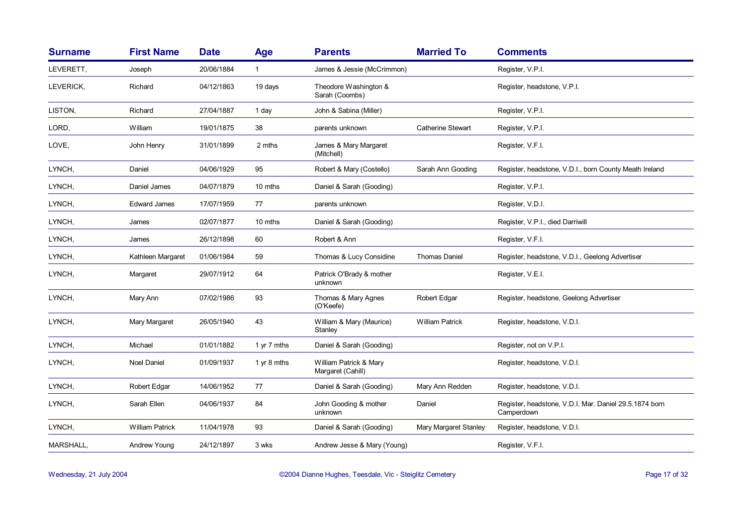| <b>Surname</b> | <b>First Name</b>      | <b>Date</b> | Age          | <b>Parents</b>                              | <b>Married To</b>        | <b>Comments</b>                                                      |
|----------------|------------------------|-------------|--------------|---------------------------------------------|--------------------------|----------------------------------------------------------------------|
| LEVERETT,      | Joseph                 | 20/06/1884  | $\mathbf{1}$ | James & Jessie (McCrimmon)                  |                          | Register, V.P.I.                                                     |
| LEVERICK,      | Richard                | 04/12/1863  | 19 days      | Theodore Washington &<br>Sarah (Coombs)     |                          | Register, headstone, V.P.I.                                          |
| LISTON,        | Richard                | 27/04/1887  | 1 day        | John & Sabina (Miller)                      |                          | Register, V.P.I.                                                     |
| LORD,          | William                | 19/01/1875  | 38           | parents unknown                             | <b>Catherine Stewart</b> | Register, V.P.I.                                                     |
| LOVE,          | John Henry             | 31/01/1899  | 2 mths       | James & Mary Margaret<br>(Mitchell)         |                          | Register, V.F.I.                                                     |
| LYNCH,         | Daniel                 | 04/06/1929  | 95           | Robert & Mary (Costello)                    | Sarah Ann Gooding        | Register, headstone, V.D.I., born County Meath Ireland               |
| LYNCH,         | Daniel James           | 04/07/1879  | 10 mths      | Daniel & Sarah (Gooding)                    |                          | Register, V.P.I.                                                     |
| LYNCH,         | <b>Edward James</b>    | 17/07/1959  | 77           | parents unknown                             |                          | Register, V.D.I.                                                     |
| LYNCH,         | James                  | 02/07/1877  | 10 mths      | Daniel & Sarah (Gooding)                    |                          | Register, V.P.I., died Darriwill                                     |
| LYNCH,         | James                  | 26/12/1898  | 60           | Robert & Ann                                |                          | Register, V.F.I.                                                     |
| LYNCH,         | Kathleen Margaret      | 01/06/1984  | 59           | Thomas & Lucy Considine                     | <b>Thomas Daniel</b>     | Register, headstone, V.D.I., Geelong Advertiser                      |
| LYNCH,         | Margaret               | 29/07/1912  | 64           | Patrick O'Brady & mother<br>unknown         |                          | Register, V.E.I.                                                     |
| LYNCH,         | Mary Ann               | 07/02/1986  | 93           | Thomas & Mary Agnes<br>(O'Keefe)            | Robert Edgar             | Register, headstone, Geelong Advertiser                              |
| LYNCH,         | Mary Margaret          | 26/05/1940  | 43           | William & Mary (Maurice)<br>Stanley         | <b>William Patrick</b>   | Register, headstone, V.D.I.                                          |
| LYNCH,         | Michael                | 01/01/1882  | 1 yr 7 mths  | Daniel & Sarah (Gooding)                    |                          | Register, not on V.P.I.                                              |
| LYNCH,         | <b>Noel Daniel</b>     | 01/09/1937  | 1 yr 8 mths  | William Patrick & Mary<br>Margaret (Cahill) |                          | Register, headstone, V.D.I.                                          |
| LYNCH,         | Robert Edgar           | 14/06/1952  | 77           | Daniel & Sarah (Gooding)                    | Mary Ann Redden          | Register, headstone, V.D.I.                                          |
| LYNCH,         | Sarah Ellen            | 04/06/1937  | 84           | John Gooding & mother<br>unknown            | Daniel                   | Register, headstone, V.D.I. Mar. Daniel 29.5.1874 born<br>Camperdown |
| LYNCH,         | <b>William Patrick</b> | 11/04/1978  | 93           | Daniel & Sarah (Gooding)                    | Mary Margaret Stanley    | Register, headstone, V.D.I.                                          |
| MARSHALL,      | Andrew Young           | 24/12/1897  | 3 wks        | Andrew Jesse & Mary (Young)                 |                          | Register, V.F.I.                                                     |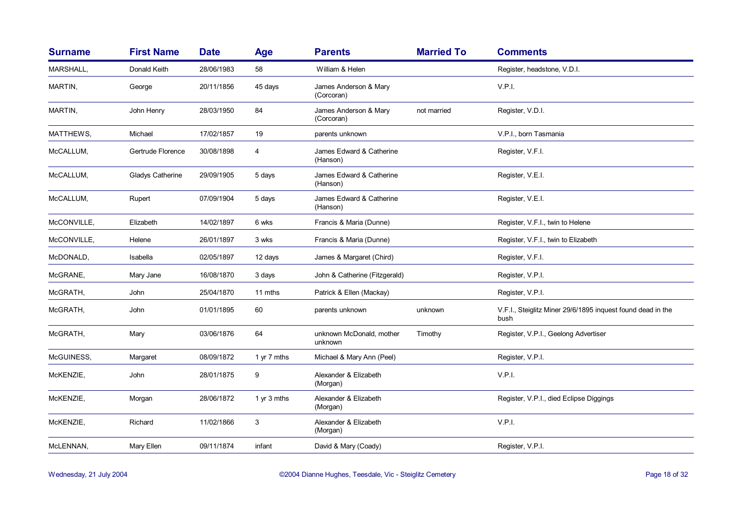| <b>Surname</b> | <b>First Name</b>       | <b>Date</b> | <b>Age</b>  | <b>Parents</b>                       | <b>Married To</b> | <b>Comments</b>                                                     |
|----------------|-------------------------|-------------|-------------|--------------------------------------|-------------------|---------------------------------------------------------------------|
| MARSHALL,      | Donald Keith            | 28/06/1983  | 58          | William & Helen                      |                   | Register, headstone, V.D.I.                                         |
| MARTIN,        | George                  | 20/11/1856  | 45 days     | James Anderson & Mary<br>(Corcoran)  |                   | V.P.I.                                                              |
| MARTIN,        | John Henry              | 28/03/1950  | 84          | James Anderson & Mary<br>(Corcoran)  | not married       | Register, V.D.I.                                                    |
| MATTHEWS,      | Michael                 | 17/02/1857  | 19          | parents unknown                      |                   | V.P.I., born Tasmania                                               |
| McCALLUM,      | Gertrude Florence       | 30/08/1898  | 4           | James Edward & Catherine<br>(Hanson) |                   | Register, V.F.I.                                                    |
| McCALLUM,      | <b>Gladys Catherine</b> | 29/09/1905  | 5 days      | James Edward & Catherine<br>(Hanson) |                   | Register, V.E.I.                                                    |
| McCALLUM,      | Rupert                  | 07/09/1904  | 5 days      | James Edward & Catherine<br>(Hanson) |                   | Register, V.E.I.                                                    |
| McCONVILLE,    | Elizabeth               | 14/02/1897  | 6 wks       | Francis & Maria (Dunne)              |                   | Register, V.F.I., twin to Helene                                    |
| McCONVILLE,    | Helene                  | 26/01/1897  | 3 wks       | Francis & Maria (Dunne)              |                   | Register, V.F.I., twin to Elizabeth                                 |
| McDONALD,      | Isabella                | 02/05/1897  | 12 days     | James & Margaret (Chird)             |                   | Register, V.F.I.                                                    |
| McGRANE,       | Mary Jane               | 16/08/1870  | 3 days      | John & Catherine (Fitzgerald)        |                   | Register, V.P.I.                                                    |
| McGRATH,       | John                    | 25/04/1870  | 11 mths     | Patrick & Ellen (Mackay)             |                   | Register, V.P.I.                                                    |
| McGRATH,       | John                    | 01/01/1895  | 60          | parents unknown                      | unknown           | V.F.I., Steiglitz Miner 29/6/1895 inquest found dead in the<br>bush |
| McGRATH,       | Mary                    | 03/06/1876  | 64          | unknown McDonald, mother<br>unknown  | Timothy           | Register, V.P.I., Geelong Advertiser                                |
| McGUINESS,     | Margaret                | 08/09/1872  | 1 yr 7 mths | Michael & Mary Ann (Peel)            |                   | Register, V.P.I.                                                    |
| McKENZIE,      | John                    | 28/01/1875  | 9           | Alexander & Elizabeth<br>(Morgan)    |                   | V.P.I.                                                              |
| McKENZIE,      | Morgan                  | 28/06/1872  | 1 yr 3 mths | Alexander & Elizabeth<br>(Morgan)    |                   | Register, V.P.I., died Eclipse Diggings                             |
| McKENZIE,      | Richard                 | 11/02/1866  | 3           | Alexander & Elizabeth<br>(Morgan)    |                   | V.P.I.                                                              |
| McLENNAN,      | Mary Ellen              | 09/11/1874  | infant      | David & Mary (Coady)                 |                   | Register, V.P.I.                                                    |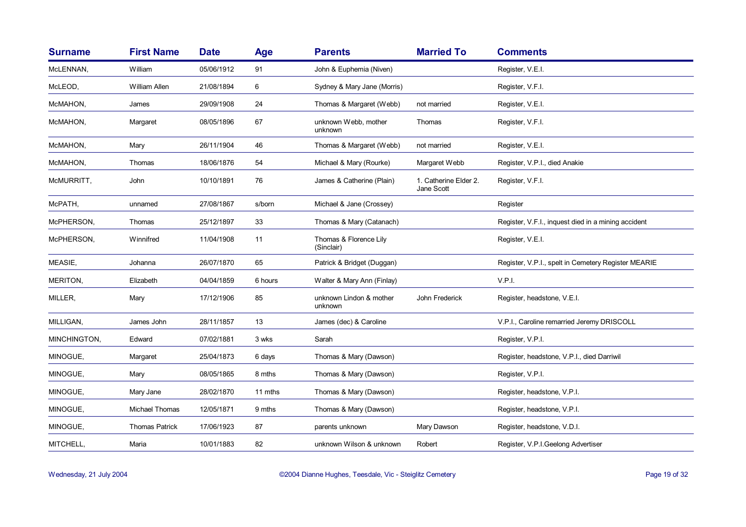| <b>Surname</b> | <b>First Name</b>     | <b>Date</b> | Age     | <b>Parents</b>                       | <b>Married To</b>                   | <b>Comments</b>                                     |
|----------------|-----------------------|-------------|---------|--------------------------------------|-------------------------------------|-----------------------------------------------------|
| McLENNAN,      | William               | 05/06/1912  | 91      | John & Euphemia (Niven)              |                                     | Register, V.E.I.                                    |
| McLEOD,        | William Allen         | 21/08/1894  | 6       | Sydney & Mary Jane (Morris)          |                                     | Register, V.F.I.                                    |
| McMAHON,       | James                 | 29/09/1908  | 24      | Thomas & Margaret (Webb)             | not married                         | Register, V.E.I.                                    |
| McMAHON,       | Margaret              | 08/05/1896  | 67      | unknown Webb, mother<br>unknown      | Thomas                              | Register, V.F.I.                                    |
| McMAHON,       | Mary                  | 26/11/1904  | 46      | Thomas & Margaret (Webb)             | not married                         | Register, V.E.I.                                    |
| McMAHON,       | Thomas                | 18/06/1876  | 54      | Michael & Mary (Rourke)              | Margaret Webb                       | Register, V.P.I., died Anakie                       |
| McMURRITT,     | John                  | 10/10/1891  | 76      | James & Catherine (Plain)            | 1. Catherine Elder 2.<br>Jane Scott | Register, V.F.I.                                    |
| McPATH,        | unnamed               | 27/08/1867  | s/born  | Michael & Jane (Crossey)             |                                     | Register                                            |
| McPHERSON,     | Thomas                | 25/12/1897  | 33      | Thomas & Mary (Catanach)             |                                     | Register, V.F.I., inguest died in a mining accident |
| McPHERSON,     | Winnifred             | 11/04/1908  | 11      | Thomas & Florence Lily<br>(Sinclair) |                                     | Register, V.E.I.                                    |
| MEASIE,        | Johanna               | 26/07/1870  | 65      | Patrick & Bridget (Duggan)           |                                     | Register, V.P.I., spelt in Cemetery Register MEARIE |
| MERITON,       | Elizabeth             | 04/04/1859  | 6 hours | Walter & Mary Ann (Finlay)           |                                     | V.P.I.                                              |
| MILLER,        | Mary                  | 17/12/1906  | 85      | unknown Lindon & mother<br>unknown   | John Frederick                      | Register, headstone, V.E.I.                         |
| MILLIGAN,      | James John            | 28/11/1857  | 13      | James (dec) & Caroline               |                                     | V.P.I., Caroline remarried Jeremy DRISCOLL          |
| MINCHINGTON,   | Edward                | 07/02/1881  | 3 wks   | Sarah                                |                                     | Register, V.P.I.                                    |
| MINOGUE,       | Margaret              | 25/04/1873  | 6 days  | Thomas & Mary (Dawson)               |                                     | Register, headstone, V.P.I., died Darriwil          |
| MINOGUE,       | Mary                  | 08/05/1865  | 8 mths  | Thomas & Mary (Dawson)               |                                     | Register, V.P.I.                                    |
| MINOGUE,       | Mary Jane             | 28/02/1870  | 11 mths | Thomas & Mary (Dawson)               |                                     | Register, headstone, V.P.I.                         |
| MINOGUE,       | Michael Thomas        | 12/05/1871  | 9 mths  | Thomas & Mary (Dawson)               |                                     | Register, headstone, V.P.I.                         |
| MINOGUE,       | <b>Thomas Patrick</b> | 17/06/1923  | 87      | parents unknown                      | Mary Dawson                         | Register, headstone, V.D.I.                         |
| MITCHELL,      | Maria                 | 10/01/1883  | 82      | unknown Wilson & unknown             | Robert                              | Register, V.P.I.Geelong Advertiser                  |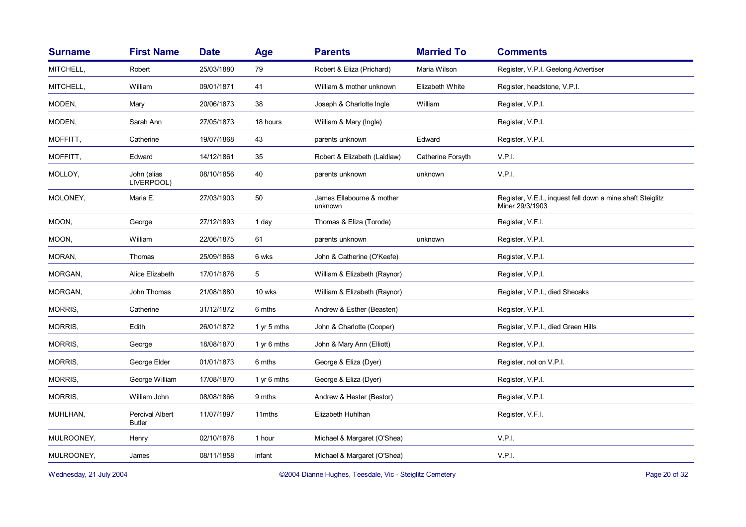| <b>Surname</b> | <b>First Name</b>                       | <b>Date</b> | Age         | <b>Parents</b>                       | <b>Married To</b> | <b>Comments</b>                                                               |
|----------------|-----------------------------------------|-------------|-------------|--------------------------------------|-------------------|-------------------------------------------------------------------------------|
| MITCHELL,      | Robert                                  | 25/03/1880  | 79          | Robert & Eliza (Prichard)            | Maria Wilson      | Register, V.P.I. Geelong Advertiser                                           |
| MITCHELL,      | William                                 | 09/01/1871  | 41          | William & mother unknown             | Elizabeth White   | Register, headstone, V.P.I.                                                   |
| MODEN,         | Mary                                    | 20/06/1873  | 38          | Joseph & Charlotte Ingle             | William           | Register, V.P.I.                                                              |
| MODEN,         | Sarah Ann                               | 27/05/1873  | 18 hours    | William & Mary (Ingle)               |                   | Register, V.P.I.                                                              |
| MOFFITT,       | Catherine                               | 19/07/1868  | 43          | parents unknown                      | Edward            | Register, V.P.I.                                                              |
| MOFFITT,       | Edward                                  | 14/12/1861  | 35          | Robert & Elizabeth (Laidlaw)         | Catherine Forsyth | V.P.I.                                                                        |
| MOLLOY,        | John (alias<br>LIVERPOOL)               | 08/10/1856  | 40          | parents unknown                      | unknown           | V.P.I.                                                                        |
| MOLONEY,       | Maria E.                                | 27/03/1903  | 50          | James Ellabourne & mother<br>unknown |                   | Register, V.E.I., inquest fell down a mine shaft Steiglitz<br>Miner 29/3/1903 |
| MOON,          | George                                  | 27/12/1893  | 1 day       | Thomas & Eliza (Torode)              |                   | Register, V.F.I.                                                              |
| MOON,          | William                                 | 22/06/1875  | 61          | parents unknown                      | unknown           | Register, V.P.I.                                                              |
| MORAN,         | Thomas                                  | 25/09/1868  | 6 wks       | John & Catherine (O'Keefe)           |                   | Register, V.P.I.                                                              |
| MORGAN,        | Alice Elizabeth                         | 17/01/1876  | 5           | William & Elizabeth (Raynor)         |                   | Register, V.P.I.                                                              |
| MORGAN,        | John Thomas                             | 21/08/1880  | 10 wks      | William & Elizabeth (Raynor)         |                   | Register, V.P.I., died Sheoaks                                                |
| MORRIS,        | Catherine                               | 31/12/1872  | 6 mths      | Andrew & Esther (Beasten)            |                   | Register, V.P.I.                                                              |
| MORRIS,        | Edith                                   | 26/01/1872  | 1 yr 5 mths | John & Charlotte (Cooper)            |                   | Register, V.P.I., died Green Hills                                            |
| MORRIS,        | George                                  | 18/08/1870  | 1 yr 6 mths | John & Mary Ann (Elliott)            |                   | Register, V.P.I.                                                              |
| MORRIS,        | George Elder                            | 01/01/1873  | 6 mths      | George & Eliza (Dyer)                |                   | Register, not on V.P.I.                                                       |
| MORRIS,        | George William                          | 17/08/1870  | 1 yr 6 mths | George & Eliza (Dyer)                |                   | Register, V.P.I.                                                              |
| MORRIS,        | William John                            | 08/08/1866  | 9 mths      | Andrew & Hester (Bestor)             |                   | Register, V.P.I.                                                              |
| MUHLHAN,       | <b>Percival Albert</b><br><b>Butler</b> | 11/07/1897  | 11mths      | Elizabeth Huhlhan                    |                   | Register, V.F.I.                                                              |
| MULROONEY,     | Henry                                   | 02/10/1878  | 1 hour      | Michael & Margaret (O'Shea)          |                   | V.P.I.                                                                        |
| MULROONEY,     | James                                   | 08/11/1858  | infant      | Michael & Margaret (O'Shea)          |                   | V.P.I.                                                                        |
|                |                                         |             |             |                                      |                   |                                                                               |

Wednesday, 21 July 2004 **Dianne Hughes, Teesdale, Vic - Steiglitz Cemetery** Page 20 of 32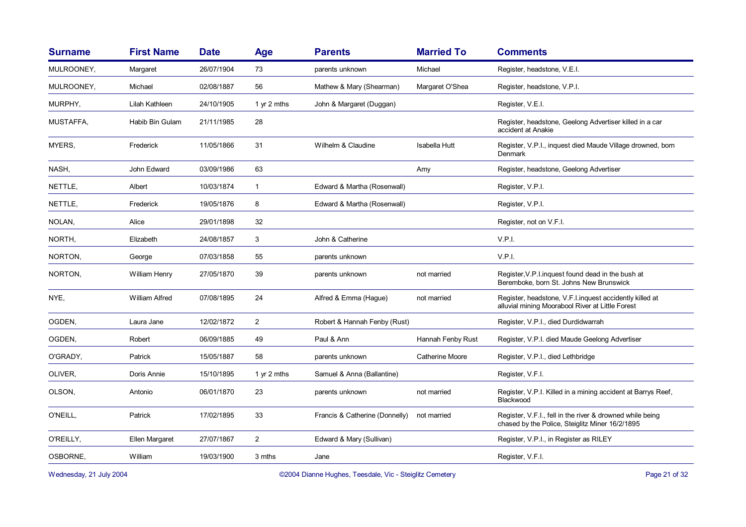| <b>Surname</b>          | <b>First Name</b>     | <b>Date</b> | Age            | <b>Parents</b>                                          | <b>Married To</b> | <b>Comments</b>                                                                                              |
|-------------------------|-----------------------|-------------|----------------|---------------------------------------------------------|-------------------|--------------------------------------------------------------------------------------------------------------|
| MULROONEY,              | Margaret              | 26/07/1904  | 73             | parents unknown                                         | Michael           | Register, headstone, V.E.I.                                                                                  |
| MULROONEY,              | Michael               | 02/08/1887  | 56             | Mathew & Mary (Shearman)                                | Margaret O'Shea   | Register, headstone, V.P.I.                                                                                  |
| MURPHY,                 | Lilah Kathleen        | 24/10/1905  | 1 yr 2 mths    | John & Margaret (Duggan)                                |                   | Register, V.E.I.                                                                                             |
| MUSTAFFA,               | Habib Bin Gulam       | 21/11/1985  | 28             |                                                         |                   | Register, headstone, Geelong Advertiser killed in a car<br>accident at Anakie                                |
| MYERS,                  | Frederick             | 11/05/1866  | 31             | Wilhelm & Claudine                                      | Isabella Hutt     | Register, V.P.I., inquest died Maude Village drowned, born<br>Denmark                                        |
| NASH,                   | John Edward           | 03/09/1986  | 63             |                                                         | Amy               | Register, headstone, Geelong Advertiser                                                                      |
| NETTLE,                 | Albert                | 10/03/1874  | $\mathbf{1}$   | Edward & Martha (Rosenwall)                             |                   | Register, V.P.I.                                                                                             |
| NETTLE,                 | Frederick             | 19/05/1876  | 8              | Edward & Martha (Rosenwall)                             |                   | Register, V.P.I.                                                                                             |
| NOLAN,                  | Alice                 | 29/01/1898  | 32             |                                                         |                   | Register, not on V.F.I.                                                                                      |
| NORTH,                  | Elizabeth             | 24/08/1857  | 3              | John & Catherine                                        |                   | V.P.I.                                                                                                       |
| NORTON,                 | George                | 07/03/1858  | 55             | parents unknown                                         |                   | V.P.I.                                                                                                       |
| NORTON,                 | William Henry         | 27/05/1870  | 39             | parents unknown                                         | not married       | Register, V.P.I. inquest found dead in the bush at<br>Beremboke, born St. Johns New Brunswick                |
| NYE,                    | <b>William Alfred</b> | 07/08/1895  | 24             | Alfred & Emma (Hague)                                   | not married       | Register, headstone, V.F.I. inquest accidently killed at<br>alluvial mining Moorabool River at Little Forest |
| OGDEN,                  | Laura Jane            | 12/02/1872  | $\overline{2}$ | Robert & Hannah Fenby (Rust)                            |                   | Register, V.P.I., died Durdidwarrah                                                                          |
| OGDEN,                  | Robert                | 06/09/1885  | 49             | Paul & Ann                                              | Hannah Fenby Rust | Register, V.P.I. died Maude Geelong Advertiser                                                               |
| O'GRADY,                | Patrick               | 15/05/1887  | 58             | parents unknown                                         | Catherine Moore   | Register, V.P.I., died Lethbridge                                                                            |
| OLIVER.                 | Doris Annie           | 15/10/1895  | 1 yr 2 mths    | Samuel & Anna (Ballantine)                              |                   | Register, V.F.I.                                                                                             |
| OLSON,                  | Antonio               | 06/01/1870  | 23             | parents unknown                                         | not married       | Register, V.P.I. Killed in a mining accident at Barrys Reef,<br>Blackwood                                    |
| O'NEILL,                | Patrick               | 17/02/1895  | 33             | Francis & Catherine (Donnelly)                          | not married       | Register, V.F.I., fell in the river & drowned while being<br>chased by the Police, Steiglitz Miner 16/2/1895 |
| O'REILLY,               | Ellen Margaret        | 27/07/1867  | $\overline{2}$ | Edward & Mary (Sullivan)                                |                   | Register, V.P.I., in Register as RILEY                                                                       |
| OSBORNE,                | William               | 19/03/1900  | 3 mths         | Jane                                                    |                   | Register, V.F.I.                                                                                             |
| Wednesday, 21 July 2004 |                       |             |                | ©2004 Dianne Hughes, Teesdale, Vic - Steiglitz Cemetery |                   | Page 21 of 32                                                                                                |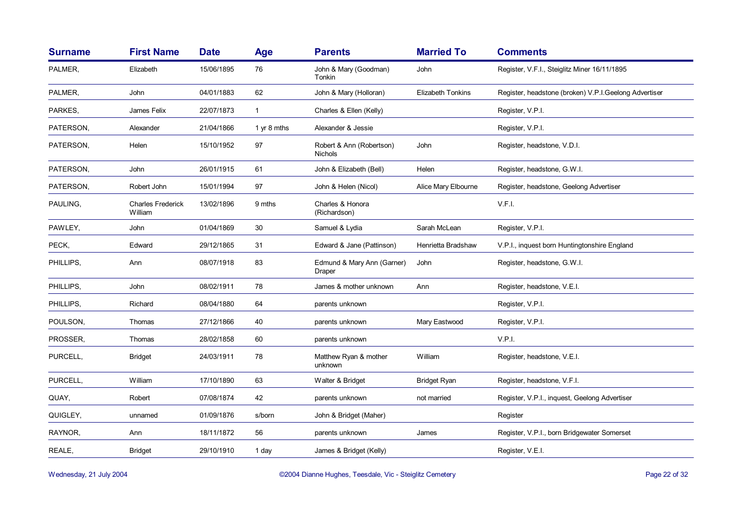| <b>Surname</b> | <b>First Name</b>                   | <b>Date</b> | Age         | <b>Parents</b>                             | <b>Married To</b>        | <b>Comments</b>                                       |
|----------------|-------------------------------------|-------------|-------------|--------------------------------------------|--------------------------|-------------------------------------------------------|
| PALMER,        | Elizabeth                           | 15/06/1895  | 76          | John & Mary (Goodman)<br>Tonkin            | John                     | Register, V.F.I., Steiglitz Miner 16/11/1895          |
| PALMER,        | John                                | 04/01/1883  | 62          | John & Mary (Holloran)                     | <b>Elizabeth Tonkins</b> | Register, headstone (broken) V.P.I.Geelong Advertiser |
| PARKES,        | James Felix                         | 22/07/1873  | $\mathbf 1$ | Charles & Ellen (Kelly)                    |                          | Register, V.P.I.                                      |
| PATERSON,      | Alexander                           | 21/04/1866  | 1 yr 8 mths | Alexander & Jessie                         |                          | Register, V.P.I.                                      |
| PATERSON,      | Helen                               | 15/10/1952  | 97          | Robert & Ann (Robertson)<br><b>Nichols</b> | John                     | Register, headstone, V.D.I.                           |
| PATERSON,      | John                                | 26/01/1915  | 61          | John & Elizabeth (Bell)                    | Helen                    | Register, headstone, G.W.I.                           |
| PATERSON,      | Robert John                         | 15/01/1994  | 97          | John & Helen (Nicol)                       | Alice Mary Elbourne      | Register, headstone, Geelong Advertiser               |
| PAULING,       | <b>Charles Frederick</b><br>William | 13/02/1896  | 9 mths      | Charles & Honora<br>(Richardson)           |                          | V.F.I.                                                |
| PAWLEY,        | John                                | 01/04/1869  | 30          | Samuel & Lydia                             | Sarah McLean             | Register, V.P.I.                                      |
| PECK,          | Edward                              | 29/12/1865  | 31          | Edward & Jane (Pattinson)                  | Henrietta Bradshaw       | V.P.I., inquest born Huntingtonshire England          |
| PHILLIPS,      | Ann                                 | 08/07/1918  | 83          | Edmund & Mary Ann (Garner)<br>Draper       | John                     | Register, headstone, G.W.I.                           |
| PHILLIPS,      | John                                | 08/02/1911  | 78          | James & mother unknown                     | Ann                      | Register, headstone, V.E.I.                           |
| PHILLIPS,      | Richard                             | 08/04/1880  | 64          | parents unknown                            |                          | Register, V.P.I.                                      |
| POULSON,       | Thomas                              | 27/12/1866  | 40          | parents unknown                            | Mary Eastwood            | Register, V.P.I.                                      |
| PROSSER,       | Thomas                              | 28/02/1858  | 60          | parents unknown                            |                          | V.P.I.                                                |
| PURCELL,       | <b>Bridget</b>                      | 24/03/1911  | 78          | Matthew Ryan & mother<br>unknown           | William                  | Register, headstone, V.E.I.                           |
| PURCELL,       | William                             | 17/10/1890  | 63          | Walter & Bridget                           | <b>Bridget Ryan</b>      | Register, headstone, V.F.I.                           |
| QUAY,          | Robert                              | 07/08/1874  | 42          | parents unknown                            | not married              | Register, V.P.I., inquest, Geelong Advertiser         |
| QUIGLEY,       | unnamed                             | 01/09/1876  | s/born      | John & Bridget (Maher)                     |                          | Register                                              |
| RAYNOR,        | Ann                                 | 18/11/1872  | 56          | parents unknown                            | James                    | Register, V.P.I., born Bridgewater Somerset           |
| REALE,         | <b>Bridget</b>                      | 29/10/1910  | 1 day       | James & Bridget (Kelly)                    |                          | Register, V.E.I.                                      |

Wednesday, 21 July 2004 **Dianne Hughes, Teesdale, Vic - Steiglitz Cemetery** Page 22 of 32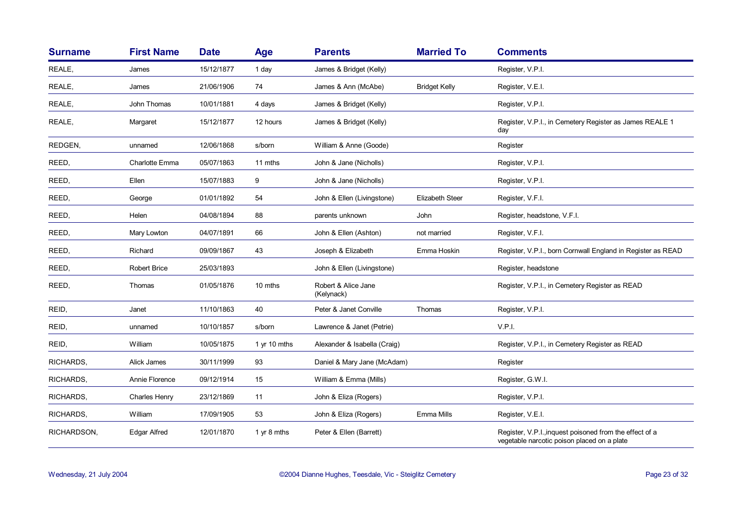| <b>Surname</b> | <b>First Name</b>     | <b>Date</b> | Age               | <b>Parents</b>                    | <b>Married To</b>    | <b>Comments</b>                                                                                        |
|----------------|-----------------------|-------------|-------------------|-----------------------------------|----------------------|--------------------------------------------------------------------------------------------------------|
| REALE,         | James                 | 15/12/1877  | 1 day             | James & Bridget (Kelly)           |                      | Register, V.P.I.                                                                                       |
| REALE,         | James                 | 21/06/1906  | 74                | James & Ann (McAbe)               | <b>Bridget Kelly</b> | Register, V.E.I.                                                                                       |
| REALE,         | John Thomas           | 10/01/1881  | 4 days            | James & Bridget (Kelly)           |                      | Register, V.P.I.                                                                                       |
| REALE,         | Margaret              | 15/12/1877  | 12 hours          | James & Bridget (Kelly)           |                      | Register, V.P.I., in Cemetery Register as James REALE 1<br>day                                         |
| REDGEN,        | unnamed               | 12/06/1868  | s/born            | William & Anne (Goode)            |                      | Register                                                                                               |
| REED,          | <b>Charlotte Emma</b> | 05/07/1863  | 11 mths           | John & Jane (Nicholls)            |                      | Register, V.P.I.                                                                                       |
| REED,          | Ellen                 | 15/07/1883  | 9                 | John & Jane (Nicholls)            |                      | Register, V.P.I.                                                                                       |
| REED,          | George                | 01/01/1892  | 54                | John & Ellen (Livingstone)        | Elizabeth Steer      | Register, V.F.I.                                                                                       |
| REED,          | Helen                 | 04/08/1894  | 88                | parents unknown                   | John                 | Register, headstone, V.F.I.                                                                            |
| REED,          | Mary Lowton           | 04/07/1891  | 66                | John & Ellen (Ashton)             | not married          | Register, V.F.I.                                                                                       |
| REED,          | Richard               | 09/09/1867  | 43                | Joseph & Elizabeth                | Emma Hoskin          | Register, V.P.I., born Cornwall England in Register as READ                                            |
| REED,          | <b>Robert Brice</b>   | 25/03/1893  |                   | John & Ellen (Livingstone)        |                      | Register, headstone                                                                                    |
| REED,          | Thomas                | 01/05/1876  | 10 mths           | Robert & Alice Jane<br>(Kelynack) |                      | Register, V.P.I., in Cemetery Register as READ                                                         |
| REID,          | Janet                 | 11/10/1863  | 40                | Peter & Janet Conville            | Thomas               | Register, V.P.I.                                                                                       |
| REID,          | unnamed               | 10/10/1857  | s/born            | Lawrence & Janet (Petrie)         |                      | V.P.I.                                                                                                 |
| REID,          | William               | 10/05/1875  | 1 yr 10 mths      | Alexander & Isabella (Craig)      |                      | Register, V.P.I., in Cemetery Register as READ                                                         |
| RICHARDS.      | Alick James           | 30/11/1999  | 93                | Daniel & Mary Jane (McAdam)       |                      | Register                                                                                               |
| RICHARDS,      | Annie Florence        | 09/12/1914  | 15                | William & Emma (Mills)            |                      | Register, G.W.I.                                                                                       |
| RICHARDS,      | Charles Henry         | 23/12/1869  | 11                | John & Eliza (Rogers)             |                      | Register, V.P.I.                                                                                       |
| RICHARDS,      | William               | 17/09/1905  | 53                | John & Eliza (Rogers)             | Emma Mills           | Register, V.E.I.                                                                                       |
| RICHARDSON,    | Edgar Alfred          | 12/01/1870  | 1 $\vee$ r 8 mths | Peter & Ellen (Barrett)           |                      | Register, V.P.I., inquest poisoned from the effect of a<br>vegetable narcotic poison placed on a plate |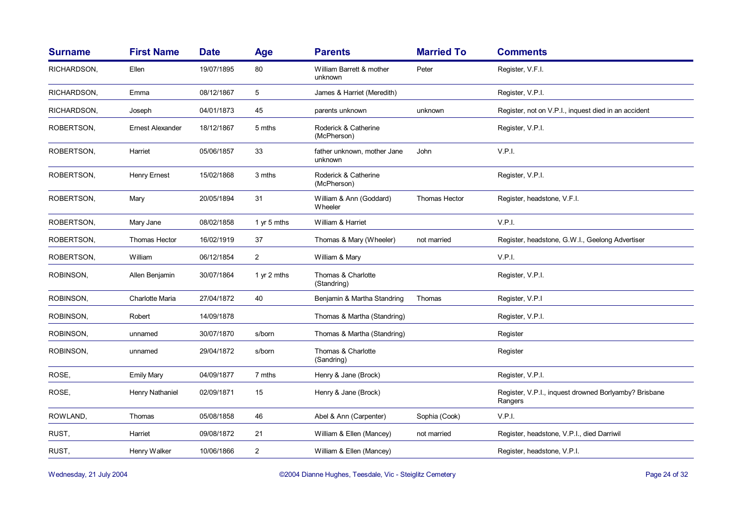| <b>Surname</b> | <b>First Name</b>       | <b>Date</b> | <b>Age</b>     | <b>Parents</b>                         | <b>Married To</b> | <b>Comments</b>                                                  |
|----------------|-------------------------|-------------|----------------|----------------------------------------|-------------------|------------------------------------------------------------------|
| RICHARDSON,    | Ellen                   | 19/07/1895  | 80             | William Barrett & mother<br>unknown    | Peter             | Register, V.F.I.                                                 |
| RICHARDSON,    | Emma                    | 08/12/1867  | 5              | James & Harriet (Meredith)             |                   | Register, V.P.I.                                                 |
| RICHARDSON,    | Joseph                  | 04/01/1873  | 45             | parents unknown                        | unknown           | Register, not on V.P.I., inquest died in an accident             |
| ROBERTSON,     | <b>Ernest Alexander</b> | 18/12/1867  | 5 mths         | Roderick & Catherine<br>(McPherson)    |                   | Register, V.P.I.                                                 |
| ROBERTSON,     | Harriet                 | 05/06/1857  | 33             | father unknown, mother Jane<br>unknown | John              | V.P.I.                                                           |
| ROBERTSON,     | <b>Henry Ernest</b>     | 15/02/1868  | 3 mths         | Roderick & Catherine<br>(McPherson)    |                   | Register, V.P.I.                                                 |
| ROBERTSON,     | Mary                    | 20/05/1894  | 31             | William & Ann (Goddard)<br>Wheeler     | Thomas Hector     | Register, headstone, V.F.I.                                      |
| ROBERTSON,     | Mary Jane               | 08/02/1858  | 1 yr 5 mths    | William & Harriet                      |                   | V.P.I.                                                           |
| ROBERTSON,     | <b>Thomas Hector</b>    | 16/02/1919  | 37             | Thomas & Mary (Wheeler)                | not married       | Register, headstone, G.W.I., Geelong Advertiser                  |
| ROBERTSON,     | William                 | 06/12/1854  | $\overline{2}$ | William & Mary                         |                   | V.P.I.                                                           |
| ROBINSON,      | Allen Benjamin          | 30/07/1864  | 1 yr 2 mths    | Thomas & Charlotte<br>(Standring)      |                   | Register, V.P.I.                                                 |
| ROBINSON,      | <b>Charlotte Maria</b>  | 27/04/1872  | 40             | Benjamin & Martha Standring            | Thomas            | Register, V.P.I                                                  |
| ROBINSON,      | Robert                  | 14/09/1878  |                | Thomas & Martha (Standring)            |                   | Register, V.P.I.                                                 |
| ROBINSON,      | unnamed                 | 30/07/1870  | s/born         | Thomas & Martha (Standring)            |                   | Register                                                         |
| ROBINSON,      | unnamed                 | 29/04/1872  | s/born         | Thomas & Charlotte<br>(Sandring)       |                   | Register                                                         |
| ROSE,          | <b>Emily Mary</b>       | 04/09/1877  | 7 mths         | Henry & Jane (Brock)                   |                   | Register, V.P.I.                                                 |
| ROSE,          | Henry Nathaniel         | 02/09/1871  | 15             | Henry & Jane (Brock)                   |                   | Register, V.P.I., inquest drowned Borlyamby? Brisbane<br>Rangers |
| ROWLAND,       | Thomas                  | 05/08/1858  | 46             | Abel & Ann (Carpenter)                 | Sophia (Cook)     | V.P.I.                                                           |
| RUST,          | Harriet                 | 09/08/1872  | 21             | William & Ellen (Mancey)               | not married       | Register, headstone, V.P.I., died Darriwil                       |
| RUST,          | Henry Walker            | 10/06/1866  | $\overline{2}$ | William & Ellen (Mancey)               |                   | Register, headstone, V.P.I.                                      |

Wednesday, 21 July 2004 **Dianne Hughes, Teesdale, Vic - Steiglitz Cemetery** Page 24 of 32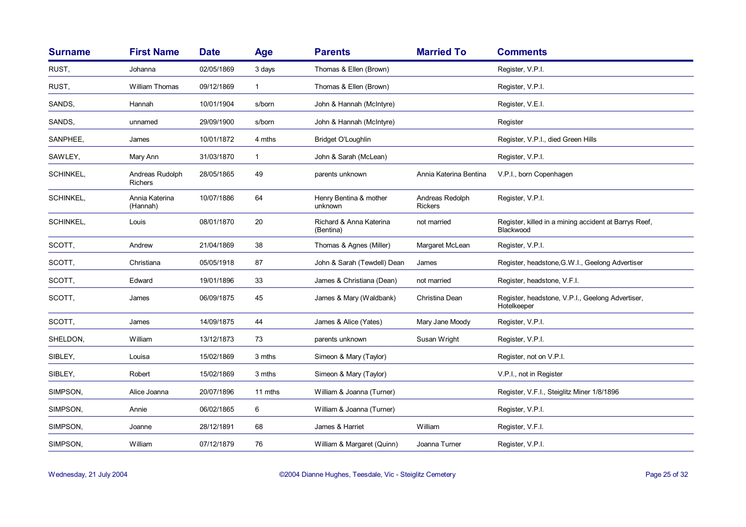| <b>Surname</b> | <b>First Name</b>                 | <b>Date</b> | <b>Age</b>   | <b>Parents</b>                       | <b>Married To</b>                 | <b>Comments</b>                                                    |
|----------------|-----------------------------------|-------------|--------------|--------------------------------------|-----------------------------------|--------------------------------------------------------------------|
| RUST,          | Johanna                           | 02/05/1869  | 3 days       | Thomas & Ellen (Brown)               |                                   | Register, V.P.I.                                                   |
| RUST,          | William Thomas                    | 09/12/1869  | $\mathbf{1}$ | Thomas & Ellen (Brown)               |                                   | Register, V.P.I.                                                   |
| SANDS,         | Hannah                            | 10/01/1904  | s/born       | John & Hannah (McIntyre)             |                                   | Register, V.E.I.                                                   |
| SANDS,         | unnamed                           | 29/09/1900  | s/born       | John & Hannah (McIntyre)             |                                   | Register                                                           |
| SANPHEE,       | James                             | 10/01/1872  | 4 mths       | Bridget O'Loughlin                   |                                   | Register, V.P.I., died Green Hills                                 |
| SAWLEY,        | Mary Ann                          | 31/03/1870  | $\mathbf{1}$ | John & Sarah (McLean)                |                                   | Register, V.P.I.                                                   |
| SCHINKEL,      | Andreas Rudolph<br><b>Richers</b> | 28/05/1865  | 49           | parents unknown                      | Annia Katerina Bentina            | V.P.I., born Copenhagen                                            |
| SCHINKEL,      | Annia Katerina<br>(Hannah)        | 10/07/1886  | 64           | Henry Bentina & mother<br>unknown    | Andreas Redolph<br><b>Rickers</b> | Register, V.P.I.                                                   |
| SCHINKEL,      | Louis                             | 08/01/1870  | 20           | Richard & Anna Katerina<br>(Bentina) | not married                       | Register, killed in a mining accident at Barrys Reef,<br>Blackwood |
| SCOTT,         | Andrew                            | 21/04/1869  | 38           | Thomas & Agnes (Miller)              | Margaret McLean                   | Register, V.P.I.                                                   |
| SCOTT.         | Christiana                        | 05/05/1918  | 87           | John & Sarah (Tewdell) Dean          | James                             | Register, headstone, G.W.I., Geelong Advertiser                    |
| SCOTT.         | Edward                            | 19/01/1896  | 33           | James & Christiana (Dean)            | not married                       | Register, headstone, V.F.I.                                        |
| SCOTT,         | James                             | 06/09/1875  | 45           | James & Mary (Waldbank)              | Christina Dean                    | Register, headstone, V.P.I., Geelong Advertiser,<br>Hotelkeeper    |
| SCOTT.         | James                             | 14/09/1875  | 44           | James & Alice (Yates)                | Mary Jane Moody                   | Register, V.P.I.                                                   |
| SHELDON,       | William                           | 13/12/1873  | 73           | parents unknown                      | Susan Wright                      | Register, V.P.I.                                                   |
| SIBLEY,        | Louisa                            | 15/02/1869  | 3 mths       | Simeon & Mary (Taylor)               |                                   | Register, not on V.P.I.                                            |
| SIBLEY,        | Robert                            | 15/02/1869  | 3 mths       | Simeon & Mary (Taylor)               |                                   | V.P.I., not in Register                                            |
| SIMPSON,       | Alice Joanna                      | 20/07/1896  | 11 mths      | William & Joanna (Turner)            |                                   | Register, V.F.I., Steiglitz Miner 1/8/1896                         |
| SIMPSON,       | Annie                             | 06/02/1865  | 6            | William & Joanna (Turner)            |                                   | Register, V.P.I.                                                   |
| SIMPSON,       | Joanne                            | 28/12/1891  | 68           | James & Harriet                      | William                           | Register, V.F.I.                                                   |
| SIMPSON,       | William                           | 07/12/1879  | 76           | William & Margaret (Quinn)           | Joanna Turner                     | Register, V.P.I.                                                   |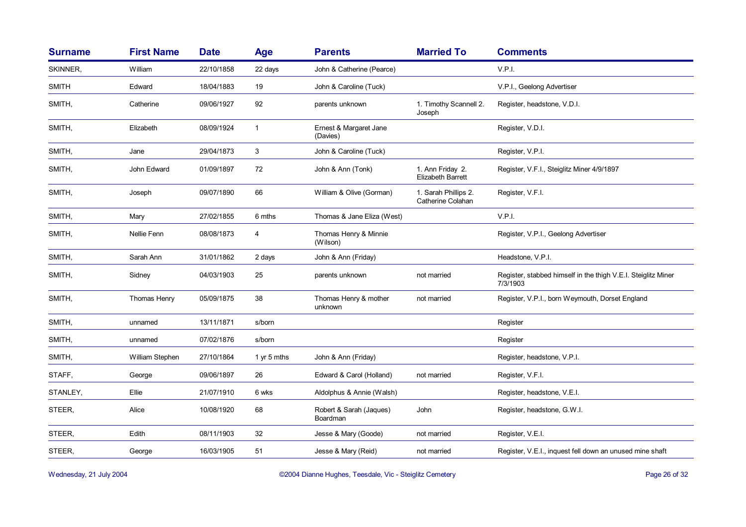| <b>First Name</b> | <b>Date</b> | <b>Age</b>   | <b>Parents</b>                      | <b>Married To</b>                            | <b>Comments</b>                                                           |
|-------------------|-------------|--------------|-------------------------------------|----------------------------------------------|---------------------------------------------------------------------------|
| William           | 22/10/1858  | 22 days      | John & Catherine (Pearce)           |                                              | V.P.I.                                                                    |
| Edward            | 18/04/1883  | 19           | John & Caroline (Tuck)              |                                              | V.P.I., Geelong Advertiser                                                |
| Catherine         | 09/06/1927  | 92           | parents unknown                     | 1. Timothy Scannell 2.<br>Joseph             | Register, headstone, V.D.I.                                               |
| Elizabeth         | 08/09/1924  | $\mathbf{1}$ | Ernest & Margaret Jane<br>(Davies)  |                                              | Register, V.D.I.                                                          |
| Jane              | 29/04/1873  | 3            | John & Caroline (Tuck)              |                                              | Register, V.P.I.                                                          |
| John Edward       | 01/09/1897  | 72           | John & Ann (Tonk)                   | 1. Ann Friday 2.<br><b>Elizabeth Barrett</b> | Register, V.F.I., Steiglitz Miner 4/9/1897                                |
| Joseph            | 09/07/1890  | 66           | William & Olive (Gorman)            | 1. Sarah Phillips 2.<br>Catherine Colahan    | Register, V.F.I.                                                          |
| Mary              | 27/02/1855  | 6 mths       | Thomas & Jane Eliza (West)          |                                              | V.P.I.                                                                    |
| Nellie Fenn       | 08/08/1873  | 4            | Thomas Henry & Minnie<br>(Wilson)   |                                              | Register, V.P.I., Geelong Advertiser                                      |
| Sarah Ann         | 31/01/1862  | 2 days       | John & Ann (Friday)                 |                                              | Headstone, V.P.I.                                                         |
| Sidney            | 04/03/1903  | 25           | parents unknown                     | not married                                  | Register, stabbed himself in the thigh V.E.I. Steiglitz Miner<br>7/3/1903 |
| Thomas Henry      | 05/09/1875  | 38           | Thomas Henry & mother<br>unknown    | not married                                  | Register, V.P.I., born Weymouth, Dorset England                           |
| unnamed           | 13/11/1871  | s/born       |                                     |                                              | Register                                                                  |
| unnamed           | 07/02/1876  | s/born       |                                     |                                              | Register                                                                  |
| William Stephen   | 27/10/1864  | 1 yr 5 mths  | John & Ann (Friday)                 |                                              | Register, headstone, V.P.I.                                               |
| George            | 09/06/1897  | 26           | Edward & Carol (Holland)            | not married                                  | Register, V.F.I.                                                          |
| Ellie             | 21/07/1910  | 6 wks        | Aldolphus & Annie (Walsh)           |                                              | Register, headstone, V.E.I.                                               |
| Alice             | 10/08/1920  | 68           | Robert & Sarah (Jaques)<br>Boardman | John                                         | Register, headstone, G.W.I.                                               |
| Edith             | 08/11/1903  | 32           | Jesse & Mary (Goode)                | not married                                  | Register, V.E.I.                                                          |
| George            | 16/03/1905  | 51           | Jesse & Mary (Reid)                 | not married                                  | Register, V.E.I., inquest fell down an unused mine shaft                  |
|                   |             |              |                                     |                                              |                                                                           |

Wednesday, 21 July 2004 **Dianne Hughes, Teesdale, Vic - Steiglitz Cemetery** Page 26 of 32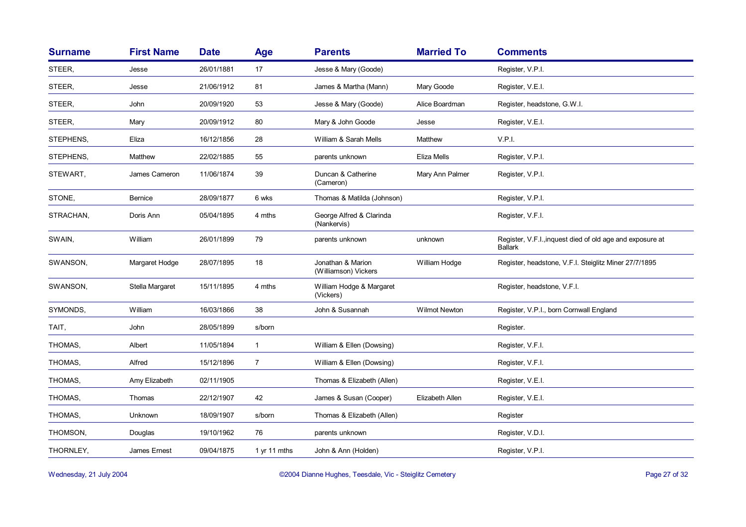| <b>Surname</b> | <b>First Name</b> | <b>Date</b> | Age            | <b>Parents</b>                            | <b>Married To</b> | <b>Comments</b>                                                             |
|----------------|-------------------|-------------|----------------|-------------------------------------------|-------------------|-----------------------------------------------------------------------------|
| STEER.         | Jesse             | 26/01/1881  | 17             | Jesse & Mary (Goode)                      |                   | Register, V.P.I.                                                            |
| STEER.         | Jesse             | 21/06/1912  | 81             | James & Martha (Mann)                     | Mary Goode        | Register, V.E.I.                                                            |
| STEER,         | John              | 20/09/1920  | 53             | Jesse & Mary (Goode)                      | Alice Boardman    | Register, headstone, G.W.I.                                                 |
| STEER,         | Mary              | 20/09/1912  | 80             | Mary & John Goode                         | Jesse             | Register, V.E.I.                                                            |
| STEPHENS,      | Eliza             | 16/12/1856  | 28             | William & Sarah Mells                     | Matthew           | V.P.I.                                                                      |
| STEPHENS,      | Matthew           | 22/02/1885  | 55             | parents unknown                           | Eliza Mells       | Register, V.P.I.                                                            |
| STEWART,       | James Cameron     | 11/06/1874  | 39             | Duncan & Catherine<br>(Cameron)           | Mary Ann Palmer   | Register, V.P.I.                                                            |
| STONE,         | <b>Bernice</b>    | 28/09/1877  | 6 wks          | Thomas & Matilda (Johnson)                |                   | Register, V.P.I.                                                            |
| STRACHAN,      | Doris Ann         | 05/04/1895  | 4 mths         | George Alfred & Clarinda<br>(Nankervis)   |                   | Register, V.F.I.                                                            |
| SWAIN,         | William           | 26/01/1899  | 79             | parents unknown                           | unknown           | Register, V.F.I., inquest died of old age and exposure at<br><b>Ballark</b> |
| SWANSON,       | Margaret Hodge    | 28/07/1895  | 18             | Jonathan & Marion<br>(Williamson) Vickers | William Hodge     | Register, headstone, V.F.I. Steiglitz Miner 27/7/1895                       |
| SWANSON,       | Stella Margaret   | 15/11/1895  | 4 mths         | William Hodge & Margaret<br>(Vickers)     |                   | Register, headstone, V.F.I.                                                 |
| SYMONDS,       | William           | 16/03/1866  | 38             | John & Susannah                           | Wilmot Newton     | Register, V.P.I., born Cornwall England                                     |
| TAIT,          | John              | 28/05/1899  | s/born         |                                           |                   | Register.                                                                   |
| THOMAS,        | Albert            | 11/05/1894  | $\mathbf{1}$   | William & Ellen (Dowsing)                 |                   | Register, V.F.I.                                                            |
| THOMAS,        | Alfred            | 15/12/1896  | $\overline{7}$ | William & Ellen (Dowsing)                 |                   | Register, V.F.I.                                                            |
| THOMAS,        | Amy Elizabeth     | 02/11/1905  |                | Thomas & Elizabeth (Allen)                |                   | Register, V.E.I.                                                            |
| THOMAS,        | Thomas            | 22/12/1907  | 42             | James & Susan (Cooper)                    | Elizabeth Allen   | Register, V.E.I.                                                            |
| THOMAS,        | Unknown           | 18/09/1907  | s/born         | Thomas & Elizabeth (Allen)                |                   | Register                                                                    |
| THOMSON,       | Douglas           | 19/10/1962  | 76             | parents unknown                           |                   | Register, V.D.I.                                                            |
| THORNLEY,      | James Ernest      | 09/04/1875  | 1 yr 11 mths   | John & Ann (Holden)                       |                   | Register, V.P.I.                                                            |

Wednesday, 21 July 2004 **Dianne Hughes, Teesdale, Vic - Steiglitz Cemetery** Page 27 of 32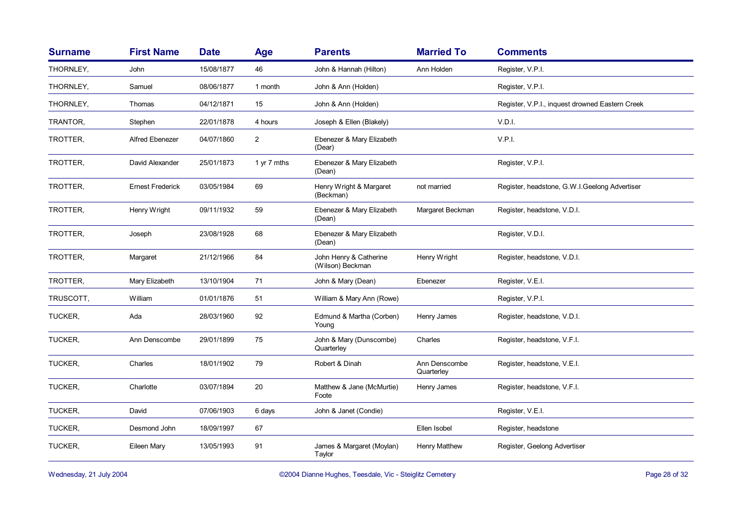| <b>Surname</b> | <b>First Name</b>       | <b>Date</b> | Age            | <b>Parents</b>                             | <b>Married To</b>           | <b>Comments</b>                                 |
|----------------|-------------------------|-------------|----------------|--------------------------------------------|-----------------------------|-------------------------------------------------|
| THORNLEY,      | John                    | 15/08/1877  | 46             | John & Hannah (Hilton)                     | Ann Holden                  | Register, V.P.I.                                |
| THORNLEY,      | Samuel                  | 08/06/1877  | 1 month        | John & Ann (Holden)                        |                             | Register, V.P.I.                                |
| THORNLEY,      | Thomas                  | 04/12/1871  | 15             | John & Ann (Holden)                        |                             | Register, V.P.I., inquest drowned Eastern Creek |
| TRANTOR,       | Stephen                 | 22/01/1878  | 4 hours        | Joseph & Ellen (Blakely)                   |                             | V.D.I.                                          |
| TROTTER,       | Alfred Ebenezer         | 04/07/1860  | $\overline{c}$ | Ebenezer & Mary Elizabeth<br>(Dear)        |                             | V.P.I.                                          |
| TROTTER,       | David Alexander         | 25/01/1873  | 1 yr 7 mths    | Ebenezer & Mary Elizabeth<br>(Dean)        |                             | Register, V.P.I.                                |
| TROTTER,       | <b>Ernest Frederick</b> | 03/05/1984  | 69             | Henry Wright & Margaret<br>(Beckman)       | not married                 | Register, headstone, G.W.I.Geelong Advertiser   |
| TROTTER,       | Henry Wright            | 09/11/1932  | 59             | Ebenezer & Mary Elizabeth<br>(Dean)        | Margaret Beckman            | Register, headstone, V.D.I.                     |
| TROTTER,       | Joseph                  | 23/08/1928  | 68             | Ebenezer & Mary Elizabeth<br>(Dean)        |                             | Register, V.D.I.                                |
| TROTTER,       | Margaret                | 21/12/1966  | 84             | John Henry & Catherine<br>(Wilson) Beckman | Henry Wright                | Register, headstone, V.D.I.                     |
| TROTTER,       | Mary Elizabeth          | 13/10/1904  | 71             | John & Mary (Dean)                         | Ebenezer                    | Register, V.E.I.                                |
| TRUSCOTT,      | William                 | 01/01/1876  | 51             | William & Mary Ann (Rowe)                  |                             | Register, V.P.I.                                |
| TUCKER,        | Ada                     | 28/03/1960  | 92             | Edmund & Martha (Corben)<br>Young          | Henry James                 | Register, headstone, V.D.I.                     |
| TUCKER,        | Ann Denscombe           | 29/01/1899  | 75             | John & Mary (Dunscombe)<br>Quarterley      | Charles                     | Register, headstone, V.F.I.                     |
| TUCKER,        | Charles                 | 18/01/1902  | 79             | Robert & Dinah                             | Ann Denscombe<br>Quarterley | Register, headstone, V.E.I.                     |
| TUCKER,        | Charlotte               | 03/07/1894  | 20             | Matthew & Jane (McMurtie)<br>Foote         | Henry James                 | Register, headstone, V.F.I.                     |
| TUCKER,        | David                   | 07/06/1903  | 6 days         | John & Janet (Condie)                      |                             | Register, V.E.I.                                |
| TUCKER,        | Desmond John            | 18/09/1997  | 67             |                                            | Ellen Isobel                | Register, headstone                             |
| TUCKER,        | Eileen Mary             | 13/05/1993  | 91             | James & Margaret (Moylan)<br>Taylor        | <b>Henry Matthew</b>        | Register, Geelong Advertiser                    |

Wednesday, 21 July 2004 **Dianne Hughes, Teesdale, Vic - Steiglitz Cemetery** Page 28 of 32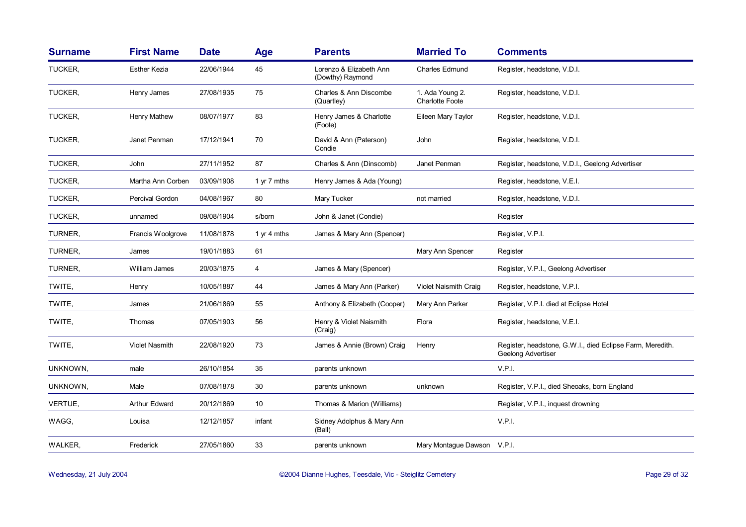| <b>Surname</b> | <b>First Name</b>     | <b>Date</b> | <b>Age</b>  | <b>Parents</b>                              | <b>Married To</b>                         | <b>Comments</b>                                                                        |
|----------------|-----------------------|-------------|-------------|---------------------------------------------|-------------------------------------------|----------------------------------------------------------------------------------------|
| TUCKER,        | Esther Kezia          | 22/06/1944  | 45          | Lorenzo & Elizabeth Ann<br>(Dowthy) Raymond | <b>Charles Edmund</b>                     | Register, headstone, V.D.I.                                                            |
| TUCKER,        | Henry James           | 27/08/1935  | 75          | Charles & Ann Discombe<br>(Quartley)        | 1. Ada Young 2.<br><b>Charlotte Foote</b> | Register, headstone, V.D.I.                                                            |
| TUCKER,        | Henry Mathew          | 08/07/1977  | 83          | Henry James & Charlotte<br>(Foote)          | Eileen Mary Taylor                        | Register, headstone, V.D.I.                                                            |
| TUCKER,        | Janet Penman          | 17/12/1941  | 70          | David & Ann (Paterson)<br>Condie            | John                                      | Register, headstone, V.D.I.                                                            |
| TUCKER,        | John                  | 27/11/1952  | 87          | Charles & Ann (Dinscomb)                    | Janet Penman                              | Register, headstone, V.D.I., Geelong Advertiser                                        |
| TUCKER,        | Martha Ann Corben     | 03/09/1908  | 1 yr 7 mths | Henry James & Ada (Young)                   |                                           | Register, headstone, V.E.I.                                                            |
| TUCKER,        | Percival Gordon       | 04/08/1967  | 80          | Mary Tucker                                 | not married                               | Register, headstone, V.D.I.                                                            |
| TUCKER,        | unnamed               | 09/08/1904  | s/born      | John & Janet (Condie)                       |                                           | Register                                                                               |
| TURNER,        | Francis Woolgrove     | 11/08/1878  | 1 yr 4 mths | James & Mary Ann (Spencer)                  |                                           | Register, V.P.I.                                                                       |
| TURNER,        | James                 | 19/01/1883  | 61          |                                             | Mary Ann Spencer                          | Register                                                                               |
| TURNER,        | William James         | 20/03/1875  | 4           | James & Mary (Spencer)                      |                                           | Register, V.P.I., Geelong Advertiser                                                   |
| TWITE,         | Henry                 | 10/05/1887  | 44          | James & Mary Ann (Parker)                   | <b>Violet Naismith Craig</b>              | Register, headstone, V.P.I.                                                            |
| TWITE,         | James                 | 21/06/1869  | 55          | Anthony & Elizabeth (Cooper)                | Mary Ann Parker                           | Register, V.P.I. died at Eclipse Hotel                                                 |
| TWITE,         | Thomas                | 07/05/1903  | 56          | Henry & Violet Naismith<br>(Craig)          | Flora                                     | Register, headstone, V.E.I.                                                            |
| TWITE,         | <b>Violet Nasmith</b> | 22/08/1920  | 73          | James & Annie (Brown) Craig                 | Henry                                     | Register, headstone, G.W.I., died Eclipse Farm, Meredith.<br><b>Geelong Advertiser</b> |
| UNKNOWN,       | male                  | 26/10/1854  | 35          | parents unknown                             |                                           | V.P.I.                                                                                 |
| UNKNOWN,       | Male                  | 07/08/1878  | 30          | parents unknown                             | unknown                                   | Register, V.P.I., died Sheoaks, born England                                           |
| VERTUE,        | <b>Arthur Edward</b>  | 20/12/1869  | 10          | Thomas & Marion (Williams)                  |                                           | Register, V.P.I., inquest drowning                                                     |
| WAGG,          | Louisa                | 12/12/1857  | infant      | Sidney Adolphus & Mary Ann<br>(Ball)        |                                           | V.P.I.                                                                                 |
| WALKER,        | Frederick             | 27/05/1860  | 33          | parents unknown                             | Mary Montague Dawson V.P.I.               |                                                                                        |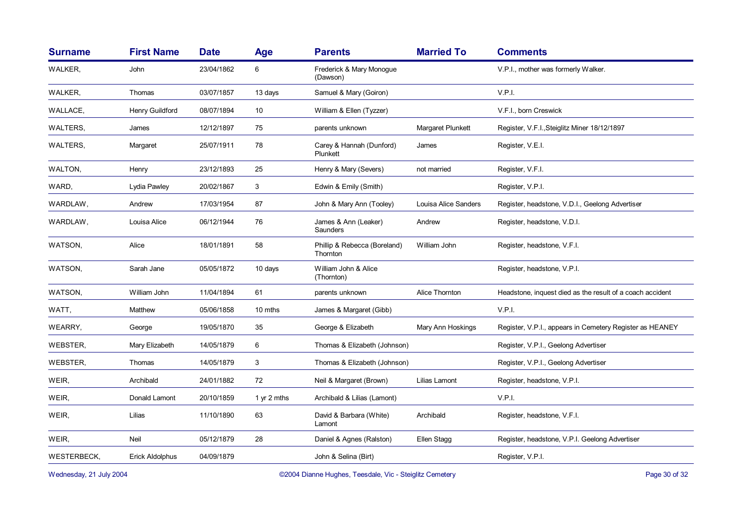| <b>Surname</b>                                                                     | <b>First Name</b>      | <b>Date</b> | <b>Age</b>  | <b>Parents</b>                           | <b>Married To</b>    | <b>Comments</b>                                           |
|------------------------------------------------------------------------------------|------------------------|-------------|-------------|------------------------------------------|----------------------|-----------------------------------------------------------|
| WALKER,                                                                            | John                   | 23/04/1862  | 6           | Frederick & Mary Monogue<br>(Dawson)     |                      | V.P.I., mother was formerly Walker.                       |
| WALKER,                                                                            | Thomas                 | 03/07/1857  | 13 days     | Samuel & Mary (Goiron)                   |                      | V.P.I.                                                    |
| WALLACE,                                                                           | Henry Guildford        | 08/07/1894  | 10          | William & Ellen (Tyzzer)                 |                      | V.F.I., born Creswick                                     |
| WALTERS,                                                                           | James                  | 12/12/1897  | 75          | parents unknown                          | Margaret Plunkett    | Register, V.F.I., Steiglitz Miner 18/12/1897              |
| WALTERS,                                                                           | Margaret               | 25/07/1911  | 78          | Carey & Hannah (Dunford)<br>Plunkett     | James                | Register, V.E.I.                                          |
| WALTON,                                                                            | Henry                  | 23/12/1893  | 25          | Henry & Mary (Severs)                    | not married          | Register, V.F.I.                                          |
| WARD,                                                                              | Lydia Pawley           | 20/02/1867  | 3           | Edwin & Emily (Smith)                    |                      | Register, V.P.I.                                          |
| WARDLAW,                                                                           | Andrew                 | 17/03/1954  | 87          | John & Mary Ann (Tooley)                 | Louisa Alice Sanders | Register, headstone, V.D.I., Geelong Advertiser           |
| WARDLAW,                                                                           | Louisa Alice           | 06/12/1944  | 76          | James & Ann (Leaker)<br>Saunders         | Andrew               | Register, headstone, V.D.I.                               |
| WATSON,                                                                            | Alice                  | 18/01/1891  | 58          | Phillip & Rebecca (Boreland)<br>Thornton | William John         | Register, headstone, V.F.I.                               |
| WATSON,                                                                            | Sarah Jane             | 05/05/1872  | 10 days     | William John & Alice<br>(Thornton)       |                      | Register, headstone, V.P.I.                               |
| WATSON,                                                                            | William John           | 11/04/1894  | 61          | parents unknown                          | Alice Thornton       | Headstone, inquest died as the result of a coach accident |
| WATT,                                                                              | Matthew                | 05/06/1858  | 10 mths     | James & Margaret (Gibb)                  |                      | V.P.I.                                                    |
| WEARRY,                                                                            | George                 | 19/05/1870  | 35          | George & Elizabeth                       | Mary Ann Hoskings    | Register, V.P.I., appears in Cemetery Register as HEANEY  |
| <b>WEBSTER,</b>                                                                    | Mary Elizabeth         | 14/05/1879  | 6           | Thomas & Elizabeth (Johnson)             |                      | Register, V.P.I., Geelong Advertiser                      |
| WEBSTER,                                                                           | Thomas                 | 14/05/1879  | 3           | Thomas & Elizabeth (Johnson)             |                      | Register, V.P.I., Geelong Advertiser                      |
| WEIR,                                                                              | Archibald              | 24/01/1882  | 72          | Neil & Margaret (Brown)                  | Lilias Lamont        | Register, headstone, V.P.I.                               |
| WEIR,                                                                              | Donald Lamont          | 20/10/1859  | 1 yr 2 mths | Archibald & Lilias (Lamont)              |                      | V.P.I.                                                    |
| WEIR,                                                                              | Lilias                 | 11/10/1890  | 63          | David & Barbara (White)<br>Lamont        | Archibald            | Register, headstone, V.F.I.                               |
| WEIR,                                                                              | Neil                   | 05/12/1879  | 28          | Daniel & Agnes (Ralston)                 | Ellen Stagg          | Register, headstone, V.P.I. Geelong Advertiser            |
| <b>WESTERBECK,</b>                                                                 | <b>Erick Aldolphus</b> | 04/09/1879  |             | John & Selina (Birt)                     |                      | Register, V.P.I.                                          |
| ©2004 Dianne Hughes, Teesdale, Vic - Steiglitz Cemetery<br>Wednesday, 21 July 2004 |                        |             |             |                                          |                      | Page 30 of 32                                             |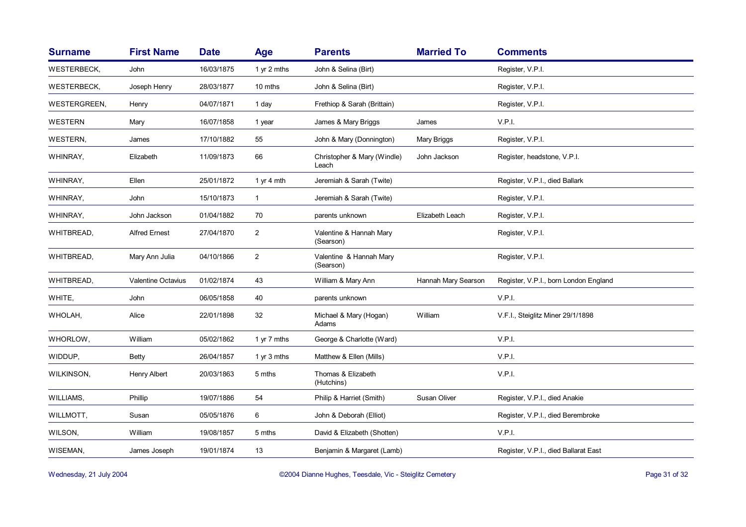| <b>Surname</b>      | <b>First Name</b>         | <b>Date</b> | <b>Age</b>     | <b>Parents</b>                       | <b>Married To</b>   | <b>Comments</b>                       |
|---------------------|---------------------------|-------------|----------------|--------------------------------------|---------------------|---------------------------------------|
| WESTERBECK,         | John                      | 16/03/1875  | 1 yr 2 mths    | John & Selina (Birt)                 |                     | Register, V.P.I.                      |
| WESTERBECK,         | Joseph Henry              | 28/03/1877  | 10 mths        | John & Selina (Birt)                 |                     | Register, V.P.I.                      |
| <b>WESTERGREEN,</b> | Henry                     | 04/07/1871  | 1 day          | Frethiop & Sarah (Brittain)          |                     | Register, V.P.I.                      |
| WESTERN             | Mary                      | 16/07/1858  | 1 year         | James & Mary Briggs                  | James               | V.P.I.                                |
| WESTERN,            | James                     | 17/10/1882  | 55             | John & Mary (Donnington)             | Mary Briggs         | Register, V.P.I.                      |
| WHINRAY,            | Elizabeth                 | 11/09/1873  | 66             | Christopher & Mary (Windle)<br>Leach | John Jackson        | Register, headstone, V.P.I.           |
| WHINRAY,            | Ellen                     | 25/01/1872  | 1 yr 4 mth     | Jeremiah & Sarah (Twite)             |                     | Register, V.P.I., died Ballark        |
| WHINRAY,            | John                      | 15/10/1873  | $\mathbf{1}$   | Jeremiah & Sarah (Twite)             |                     | Register, V.P.I.                      |
| WHINRAY,            | John Jackson              | 01/04/1882  | 70             | parents unknown                      | Elizabeth Leach     | Register, V.P.I.                      |
| WHITBREAD,          | <b>Alfred Ernest</b>      | 27/04/1870  | $\overline{2}$ | Valentine & Hannah Mary<br>(Searson) |                     | Register, V.P.I.                      |
| WHITBREAD,          | Mary Ann Julia            | 04/10/1866  | $\overline{2}$ | Valentine & Hannah Mary<br>(Searson) |                     | Register, V.P.I.                      |
| WHITBREAD,          | <b>Valentine Octavius</b> | 01/02/1874  | 43             | William & Mary Ann                   | Hannah Mary Searson | Register, V.P.I., born London England |
| WHITE,              | John                      | 06/05/1858  | 40             | parents unknown                      |                     | V.P.I.                                |
| WHOLAH,             | Alice                     | 22/01/1898  | 32             | Michael & Mary (Hogan)<br>Adams      | William             | V.F.I., Steiglitz Miner 29/1/1898     |
| WHORLOW,            | William                   | 05/02/1862  | 1 yr 7 mths    | George & Charlotte (Ward)            |                     | V.P.I.                                |
| WIDDUP,             | <b>Betty</b>              | 26/04/1857  | 1 yr 3 mths    | Matthew & Ellen (Mills)              |                     | V.P.I.                                |
| WILKINSON,          | Henry Albert              | 20/03/1863  | 5 mths         | Thomas & Elizabeth<br>(Hutchins)     |                     | V.P.I.                                |
| WILLIAMS,           | Phillip                   | 19/07/1886  | 54             | Philip & Harriet (Smith)             | Susan Oliver        | Register, V.P.I., died Anakie         |
| WILLMOTT,           | Susan                     | 05/05/1876  | 6              | John & Deborah (Elliot)              |                     | Register, V.P.I., died Berembroke     |
| WILSON,             | William                   | 19/08/1857  | 5 mths         | David & Elizabeth (Shotten)          |                     | V.P.I.                                |
| WISEMAN,            | James Joseph              | 19/01/1874  | 13             | Benjamin & Margaret (Lamb)           |                     | Register, V.P.I., died Ballarat East  |

Wednesday, 21 July 2004 **Dianne Hughes, Teesdale, Vic - Steiglitz Cemetery** Page 31 of 32